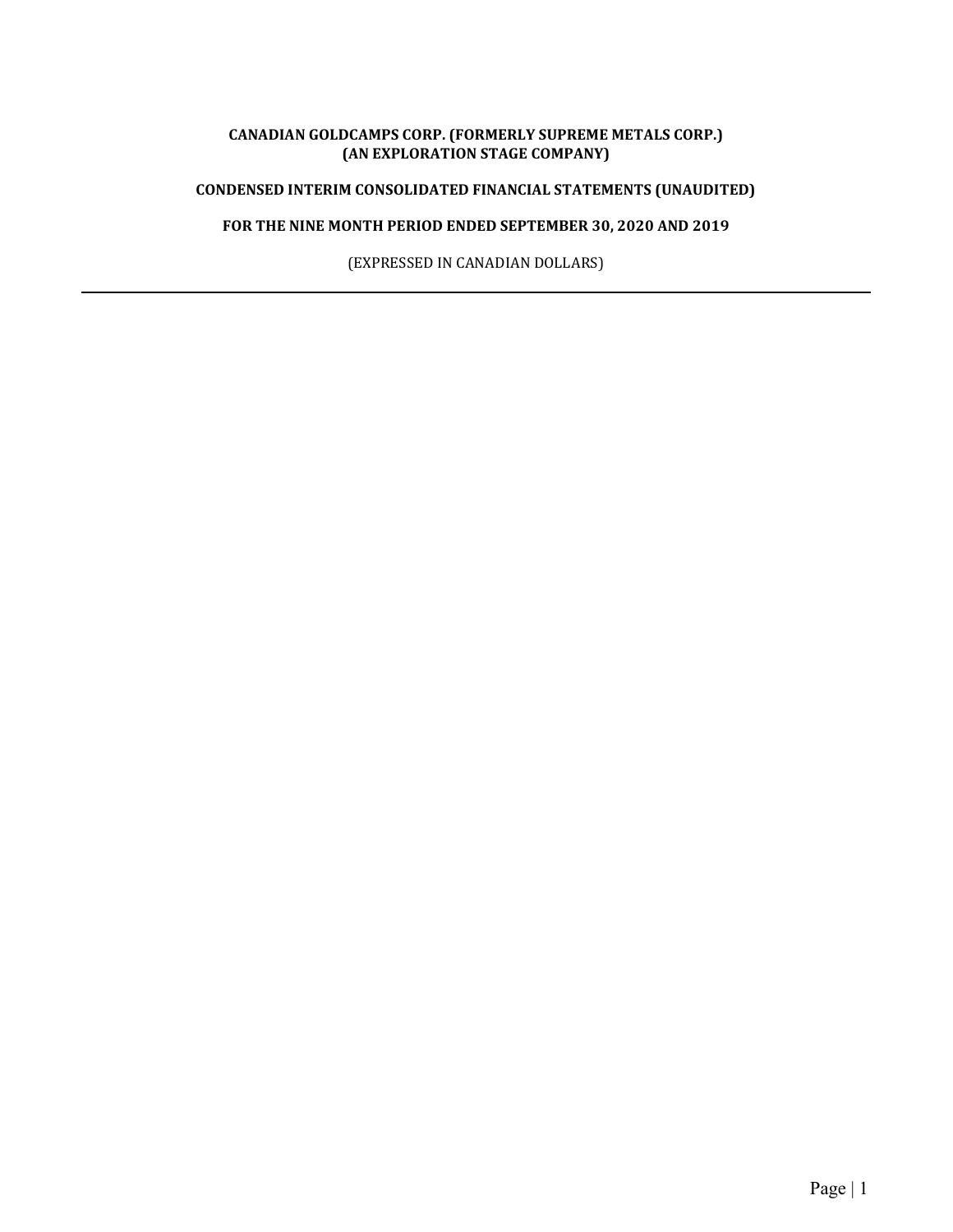### CANADIAN GOLDCAMPS CORP. (FORMERLY SUPREME METALS CORP.) (AN EXPLORATION STAGE COMPANY)

## CONDENSED INTERIM CONSOLIDATED FINANCIAL STATEMENTS (UNAUDITED)

# FOR THE NINE MONTH PERIOD ENDED SEPTEMBER 30, 2020 AND 2019

(EXPRESSED IN CANADIAN DOLLARS)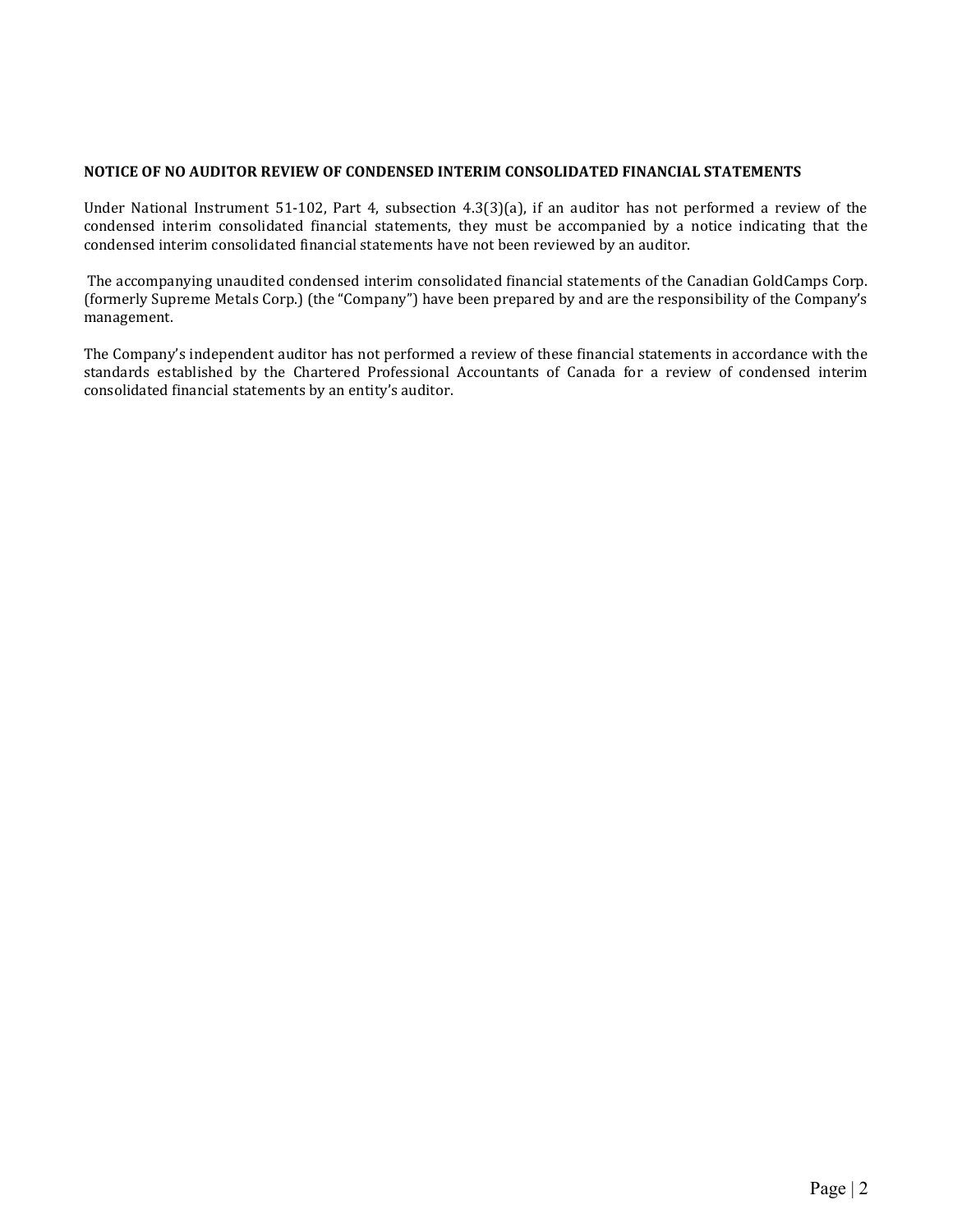### NOTICE OF NO AUDITOR REVIEW OF CONDENSED INTERIM CONSOLIDATED FINANCIAL STATEMENTS

Under National Instrument 51-102, Part 4, subsection 4.3(3)(a), if an auditor has not performed a review of the condensed interim consolidated financial statements, they must be accompanied by a notice indicating that the condensed interim consolidated financial statements have not been reviewed by an auditor.

 The accompanying unaudited condensed interim consolidated financial statements of the Canadian GoldCamps Corp. (formerly Supreme Metals Corp.) (the "Company") have been prepared by and are the responsibility of the Company's management.

The Company's independent auditor has not performed a review of these financial statements in accordance with the standards established by the Chartered Professional Accountants of Canada for a review of condensed interim consolidated financial statements by an entity's auditor.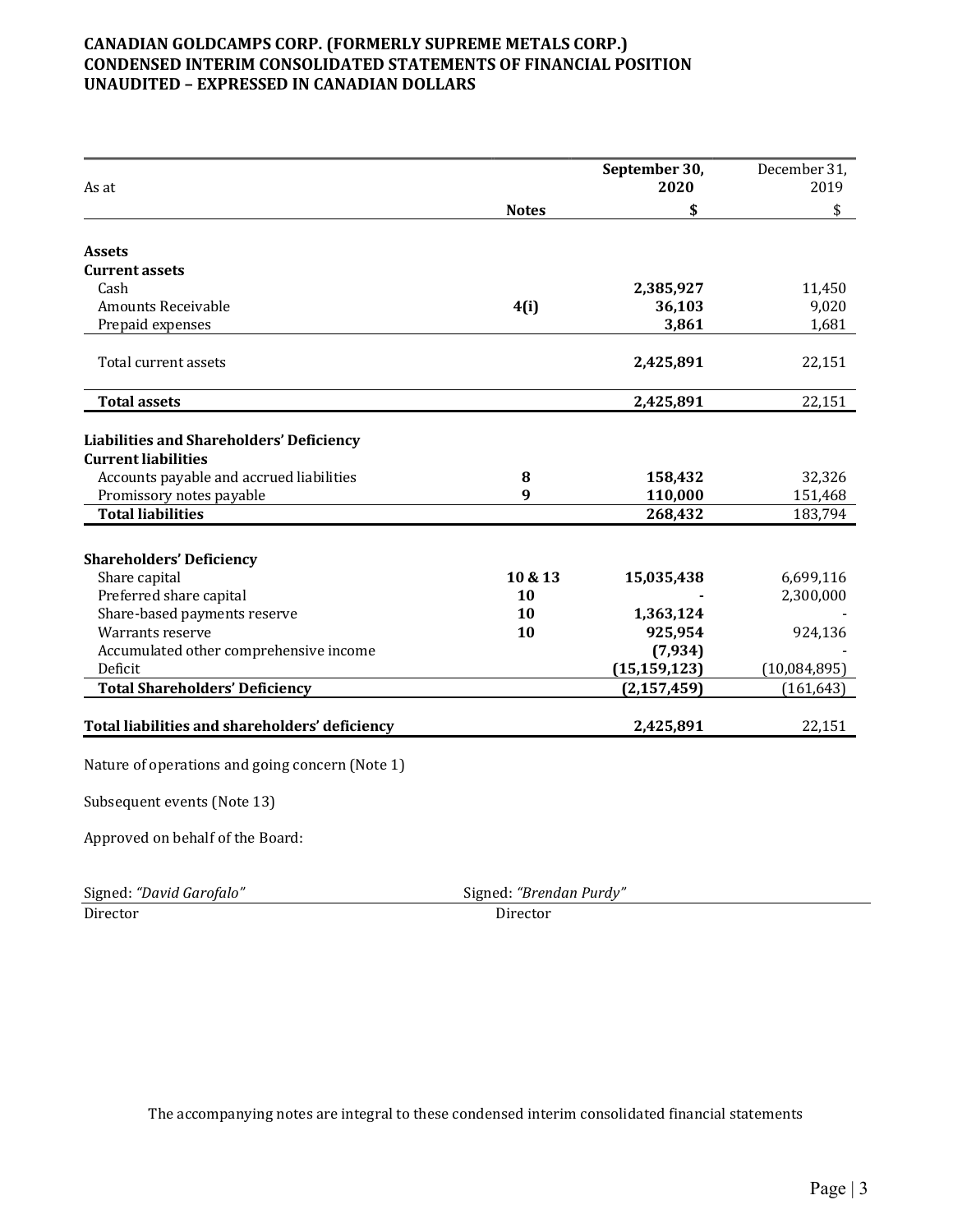## CANADIAN GOLDCAMPS CORP. (FORMERLY SUPREME METALS CORP.) CONDENSED INTERIM CONSOLIDATED STATEMENTS OF FINANCIAL POSITION UNAUDITED – EXPRESSED IN CANADIAN DOLLARS

| As at                                                                |                  | September 30,<br>2020 | December 31,<br>2019 |
|----------------------------------------------------------------------|------------------|-----------------------|----------------------|
|                                                                      | <b>Notes</b>     | \$                    | \$                   |
| <b>Assets</b>                                                        |                  |                       |                      |
| <b>Current assets</b>                                                |                  |                       |                      |
| Cash                                                                 |                  | 2,385,927             | 11,450               |
| <b>Amounts Receivable</b>                                            | 4(i)             | 36,103                | 9,020                |
| Prepaid expenses                                                     |                  | 3,861                 | 1,681                |
| Total current assets                                                 |                  | 2,425,891             | 22,151               |
| <b>Total assets</b>                                                  |                  | 2,425,891             | 22,151               |
| <b>Liabilities and Shareholders' Deficiency</b>                      |                  |                       |                      |
| <b>Current liabilities</b>                                           | 8                |                       |                      |
| Accounts payable and accrued liabilities<br>Promissory notes payable | $\boldsymbol{q}$ | 158,432<br>110,000    | 32,326<br>151,468    |
| <b>Total liabilities</b>                                             |                  | 268,432               | 183,794              |
|                                                                      |                  |                       |                      |
| <b>Shareholders' Deficiency</b>                                      |                  |                       |                      |
| Share capital                                                        | 10 & 13          | 15,035,438            | 6,699,116            |
| Preferred share capital                                              | 10               |                       | 2,300,000            |
| Share-based payments reserve                                         | 10               | 1,363,124             |                      |
| Warrants reserve                                                     | 10               | 925,954               | 924,136              |
| Accumulated other comprehensive income                               |                  | (7,934)               |                      |
| Deficit                                                              |                  | (15, 159, 123)        | (10,084,895)         |
| <b>Total Shareholders' Deficiency</b>                                |                  | (2, 157, 459)         | (161, 643)           |
| Total liabilities and shareholders' deficiency                       |                  | 2,425,891             | 22,151               |
| Nature of operations and going concern (Note 1)                      |                  |                       |                      |
| Subsequent events (Note 13)                                          |                  |                       |                      |
| Approved on behalf of the Board:                                     |                  |                       |                      |

| Signed: "David Garofalo" | Signed: "Brene |
|--------------------------|----------------|
| Director                 | Director       |

Signed: "Brendan Purdy"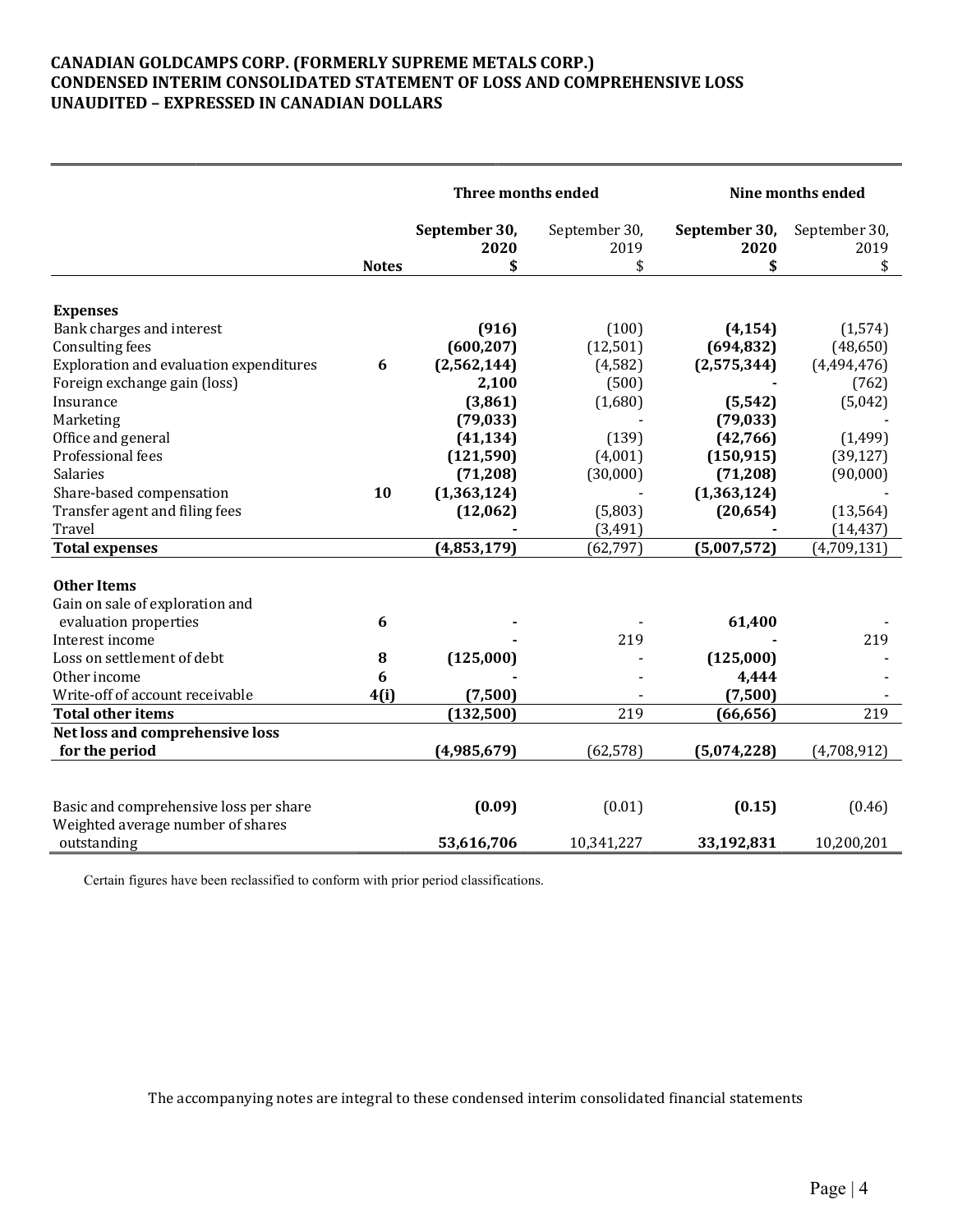## CANADIAN GOLDCAMPS CORP. (FORMERLY SUPREME METALS CORP.) CONDENSED INTERIM CONSOLIDATED STATEMENT OF LOSS AND COMPREHENSIVE LOSS UNAUDITED – EXPRESSED IN CANADIAN DOLLARS

|                                              | Three months ended    |                       | Nine months ended     |                       |
|----------------------------------------------|-----------------------|-----------------------|-----------------------|-----------------------|
|                                              | September 30,<br>2020 | September 30,<br>2019 | September 30,<br>2020 | September 30,<br>2019 |
| <b>Notes</b>                                 | \$                    | \$                    | \$                    | \$                    |
|                                              |                       |                       |                       |                       |
| <b>Expenses</b>                              |                       |                       |                       |                       |
| Bank charges and interest                    | (916)                 | (100)                 | (4, 154)              | (1, 574)              |
| Consulting fees                              | (600, 207)            | (12, 501)             | (694, 832)            | (48, 650)             |
| Exploration and evaluation expenditures<br>6 | (2,562,144)           | (4, 582)              | (2,575,344)           | (4,494,476)           |
| Foreign exchange gain (loss)                 | 2,100                 | (500)                 |                       | (762)                 |
| Insurance                                    | (3,861)               | (1,680)               | (5, 542)              | (5,042)               |
| Marketing                                    | (79, 033)             |                       | (79, 033)             |                       |
| Office and general                           | (41, 134)             | (139)                 | (42,766)              | (1, 499)              |
| Professional fees                            | (121, 590)            | (4,001)               | (150, 915)            | (39, 127)             |
| Salaries                                     | (71, 208)             | (30,000)              | (71, 208)             | (90,000)              |
| Share-based compensation<br>10               | (1,363,124)           |                       | (1,363,124)           |                       |
| Transfer agent and filing fees               | (12,062)              | (5,803)               | (20, 654)             | (13, 564)             |
| Travel                                       |                       | (3,491)               |                       | (14, 437)             |
| <b>Total expenses</b>                        | (4,853,179)           | (62, 797)             | (5,007,572)           | (4,709,131)           |
| <b>Other Items</b>                           |                       |                       |                       |                       |
| Gain on sale of exploration and              |                       |                       |                       |                       |
| 6<br>evaluation properties                   |                       |                       | 61,400                |                       |
| Interest income                              |                       | 219                   |                       | 219                   |
| Loss on settlement of debt<br>${\bf 8}$      | (125,000)             |                       | (125,000)             |                       |
| 6<br>Other income                            |                       |                       | 4,444                 |                       |
| Write-off of account receivable<br>4(i)      | (7,500)               |                       | (7,500)               |                       |
| <b>Total other items</b>                     | (132,500)             | 219                   | (66, 656)             | 219                   |
| Net loss and comprehensive loss              |                       |                       |                       |                       |
| for the period                               | (4,985,679)           | (62, 578)             | (5,074,228)           | (4,708,912)           |
|                                              |                       |                       |                       |                       |
| Basic and comprehensive loss per share       | (0.09)                | (0.01)                | (0.15)                | (0.46)                |
| Weighted average number of shares            |                       |                       |                       |                       |
| outstanding                                  | 53,616,706            | 10,341,227            | 33,192,831            | 10,200,201            |

Certain figures have been reclassified to conform with prior period classifications.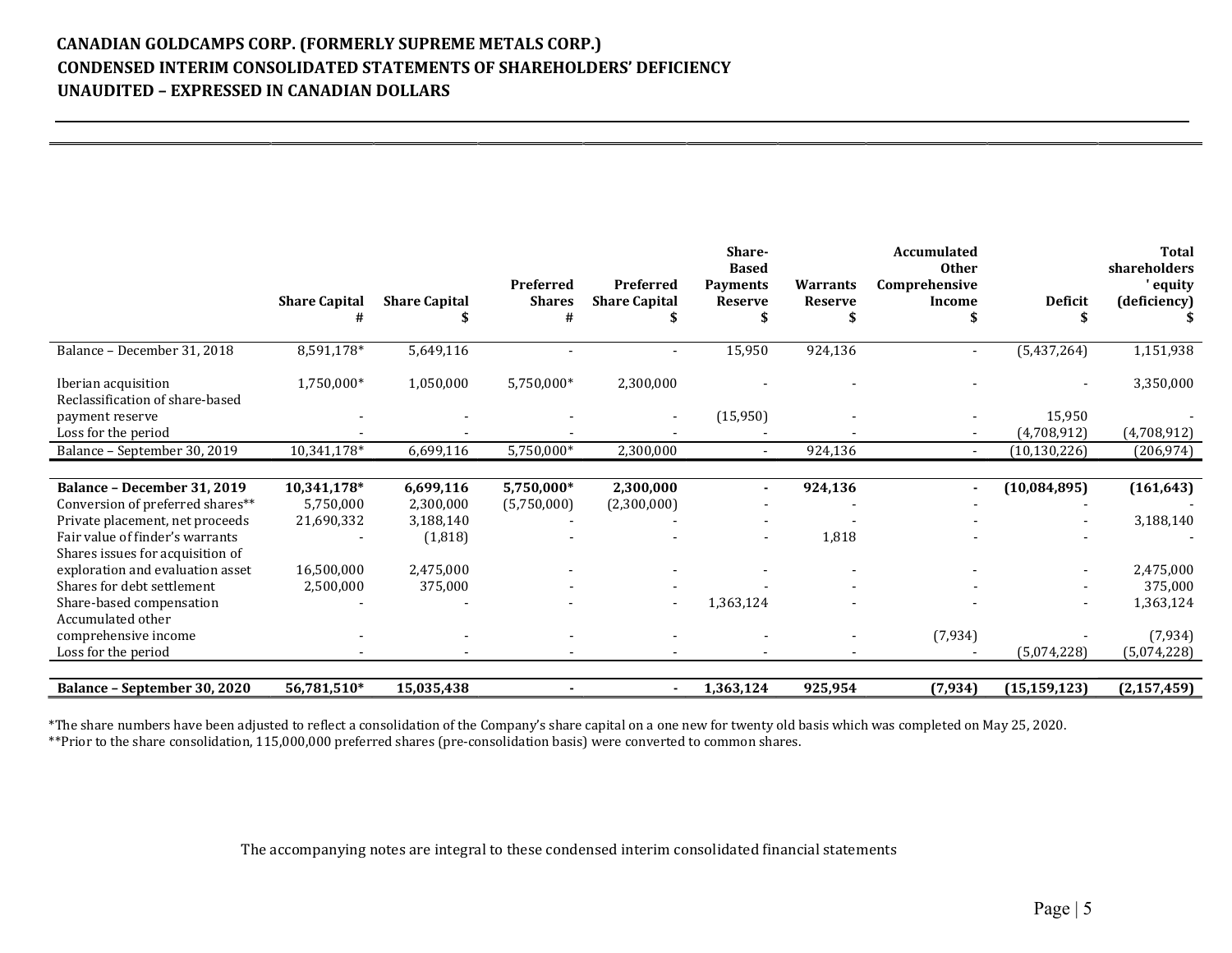# CANADIAN GOLDCAMPS CORP. (FORMERLY SUPREME METALS CORP.) CONDENSED INTERIM CONSOLIDATED STATEMENTS OF SHAREHOLDERS' DEFICIENCY UNAUDITED – EXPRESSED IN CANADIAN DOLLARS

|                                                                     | <b>Share Capital</b><br># | <b>Share Capital</b> | Preferred<br><b>Shares</b><br># | Preferred<br><b>Share Capital</b> | Share-<br><b>Based</b><br><b>Payments</b><br><b>Reserve</b> | <b>Warrants</b><br><b>Reserve</b> | <b>Accumulated</b><br><b>Other</b><br>Comprehensive<br>Income | <b>Deficit</b>           | <b>Total</b><br>shareholders<br>' equity<br>(deficiency) |
|---------------------------------------------------------------------|---------------------------|----------------------|---------------------------------|-----------------------------------|-------------------------------------------------------------|-----------------------------------|---------------------------------------------------------------|--------------------------|----------------------------------------------------------|
| Balance - December 31, 2018                                         | 8,591,178*                | 5,649,116            |                                 |                                   | 15,950                                                      | 924,136                           | $\sim$                                                        | (5,437,264)              | 1,151,938                                                |
| Iberian acquisition<br>Reclassification of share-based              | 1,750,000*                | 1,050,000            | 5,750,000*                      | 2,300,000                         |                                                             |                                   |                                                               |                          | 3,350,000                                                |
| payment reserve                                                     |                           |                      |                                 | $\overline{\phantom{a}}$          | (15,950)                                                    |                                   |                                                               | 15,950                   |                                                          |
| Loss for the period                                                 |                           |                      |                                 |                                   |                                                             |                                   |                                                               | (4,708,912)              | (4,708,912)                                              |
| Balance - September 30, 2019                                        | 10,341,178*               | 6,699,116            | 5,750,000*                      | 2,300,000                         | $\sim$                                                      | 924,136                           | $\sim$                                                        | (10, 130, 226)           | (206, 974)                                               |
|                                                                     |                           |                      |                                 |                                   |                                                             |                                   |                                                               |                          |                                                          |
| Balance - December 31, 2019                                         | 10,341,178*               | 6,699,116            | 5,750,000*                      | 2,300,000                         | $\sim$                                                      | 924,136                           | ٠                                                             | (10,084,895)             | (161, 643)                                               |
| Conversion of preferred shares**                                    | 5,750,000                 | 2,300,000            | (5,750,000)                     | (2,300,000)                       |                                                             |                                   |                                                               |                          |                                                          |
| Private placement, net proceeds                                     | 21,690,332                | 3,188,140            |                                 |                                   |                                                             |                                   |                                                               |                          | 3,188,140                                                |
| Fair value of finder's warrants<br>Shares issues for acquisition of |                           | (1,818)              |                                 |                                   |                                                             | 1,818                             |                                                               |                          |                                                          |
| exploration and evaluation asset                                    | 16,500,000                | 2,475,000            |                                 |                                   |                                                             |                                   |                                                               |                          | 2,475,000                                                |
| Shares for debt settlement                                          | 2,500,000                 | 375,000              |                                 |                                   |                                                             |                                   |                                                               |                          | 375,000                                                  |
| Share-based compensation                                            |                           |                      |                                 |                                   | 1,363,124                                                   |                                   |                                                               | $\overline{\phantom{a}}$ | 1,363,124                                                |
| Accumulated other                                                   |                           |                      |                                 |                                   |                                                             |                                   |                                                               |                          |                                                          |
| comprehensive income                                                |                           |                      |                                 |                                   |                                                             |                                   | (7,934)                                                       |                          | (7,934)                                                  |
| Loss for the period                                                 |                           |                      |                                 |                                   |                                                             |                                   |                                                               | (5,074,228)              | (5,074,228)                                              |
|                                                                     |                           |                      |                                 |                                   |                                                             |                                   |                                                               |                          |                                                          |
| Balance - September 30, 2020                                        | 56,781,510*               | 15,035,438           |                                 |                                   | 1,363,124                                                   | 925,954                           | (7, 934)                                                      | (15, 159, 123)           | (2, 157, 459)                                            |

\*The share numbers have been adjusted to reflect a consolidation of the Company's share capital on a one new for twenty old basis which was completed on May 25, 2020. \*\*Prior to the share consolidation, 115,000,000 preferred shares (pre-consolidation basis) were converted to common shares.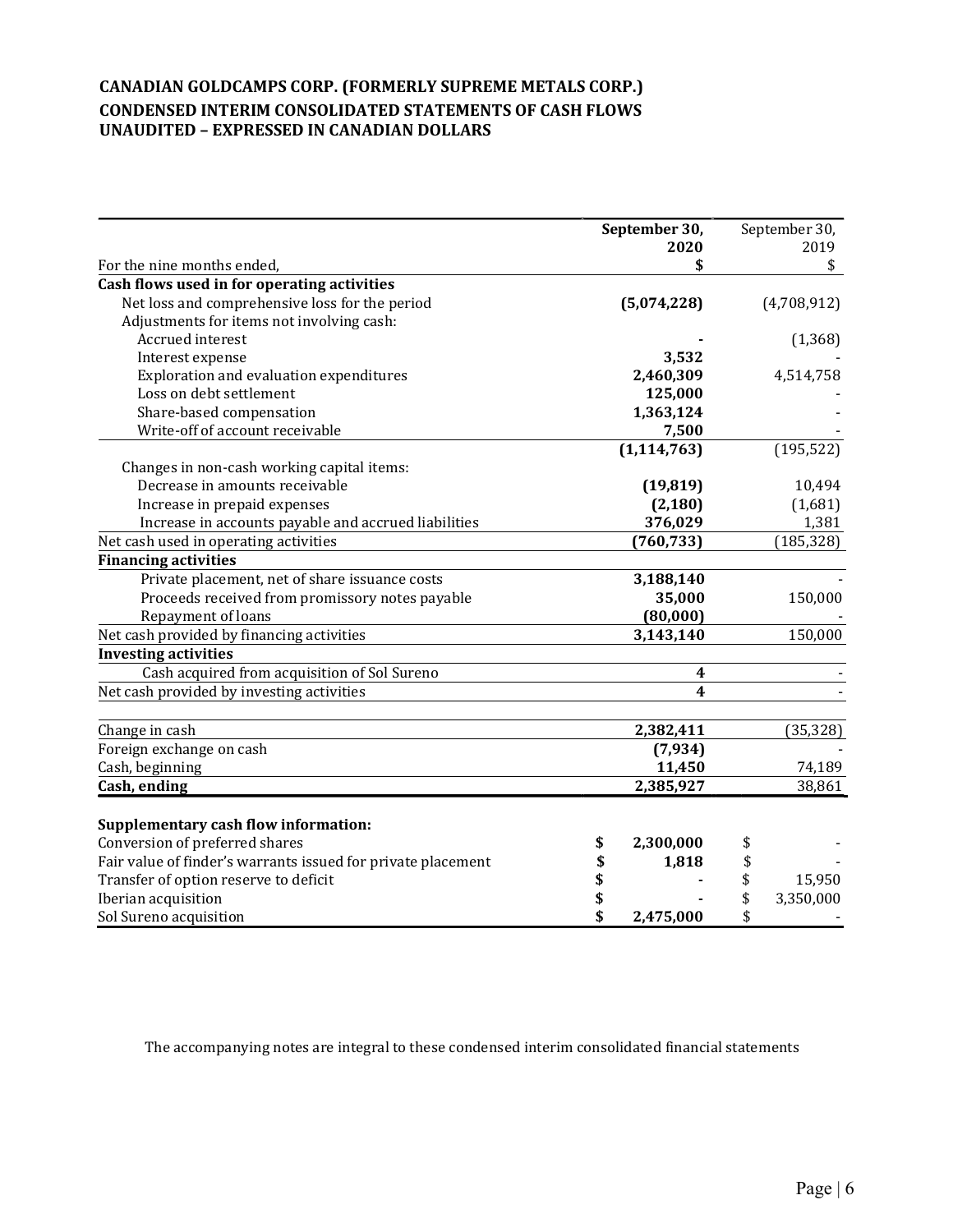# CANADIAN GOLDCAMPS CORP. (FORMERLY SUPREME METALS CORP.) CONDENSED INTERIM CONSOLIDATED STATEMENTS OF CASH FLOWS UNAUDITED – EXPRESSED IN CANADIAN DOLLARS

|                                                              |          | September 30,           | September 30,   |
|--------------------------------------------------------------|----------|-------------------------|-----------------|
|                                                              |          | 2020                    | 2019            |
| For the nine months ended,                                   |          | \$                      | \$              |
| Cash flows used in for operating activities                  |          |                         |                 |
| Net loss and comprehensive loss for the period               |          | (5,074,228)             | (4,708,912)     |
| Adjustments for items not involving cash:                    |          |                         |                 |
| Accrued interest                                             |          |                         | (1, 368)        |
| Interest expense                                             |          | 3,532                   |                 |
| Exploration and evaluation expenditures                      |          | 2,460,309               | 4,514,758       |
| Loss on debt settlement                                      |          | 125,000                 |                 |
| Share-based compensation                                     |          | 1,363,124               |                 |
| Write-off of account receivable                              |          | 7,500                   |                 |
|                                                              |          | (1, 114, 763)           | (195, 522)      |
| Changes in non-cash working capital items:                   |          |                         |                 |
| Decrease in amounts receivable                               |          | (19, 819)               | 10,494          |
| Increase in prepaid expenses                                 |          | (2, 180)                | (1,681)         |
| Increase in accounts payable and accrued liabilities         |          | 376,029                 | 1,381           |
| Net cash used in operating activities                        |          | (760, 733)              | (185, 328)      |
| <b>Financing activities</b>                                  |          |                         |                 |
| Private placement, net of share issuance costs               |          | 3,188,140               |                 |
| Proceeds received from promissory notes payable              |          | 35,000                  | 150,000         |
| Repayment of loans                                           |          | (80,000)                |                 |
| Net cash provided by financing activities                    |          | 3,143,140               | 150,000         |
| <b>Investing activities</b>                                  |          |                         |                 |
| Cash acquired from acquisition of Sol Sureno                 |          | 4                       |                 |
| Net cash provided by investing activities                    |          | $\overline{\mathbf{4}}$ |                 |
| Change in cash                                               |          | 2,382,411               | (35, 328)       |
| Foreign exchange on cash                                     |          | (7, 934)                |                 |
| Cash, beginning                                              |          | 11,450                  | 74,189          |
| Cash, ending                                                 |          | 2,385,927               | 38,861          |
|                                                              |          |                         |                 |
| <b>Supplementary cash flow information:</b>                  |          |                         |                 |
| Conversion of preferred shares                               | \$       | 2,300,000               | \$              |
| Fair value of finder's warrants issued for private placement | \$       | 1,818                   | \$              |
| Transfer of option reserve to deficit                        | \$<br>\$ |                         | \$<br>15,950    |
| Iberian acquisition                                          |          |                         | \$<br>3,350,000 |
| Sol Sureno acquisition                                       | \$       | 2,475,000               | \$              |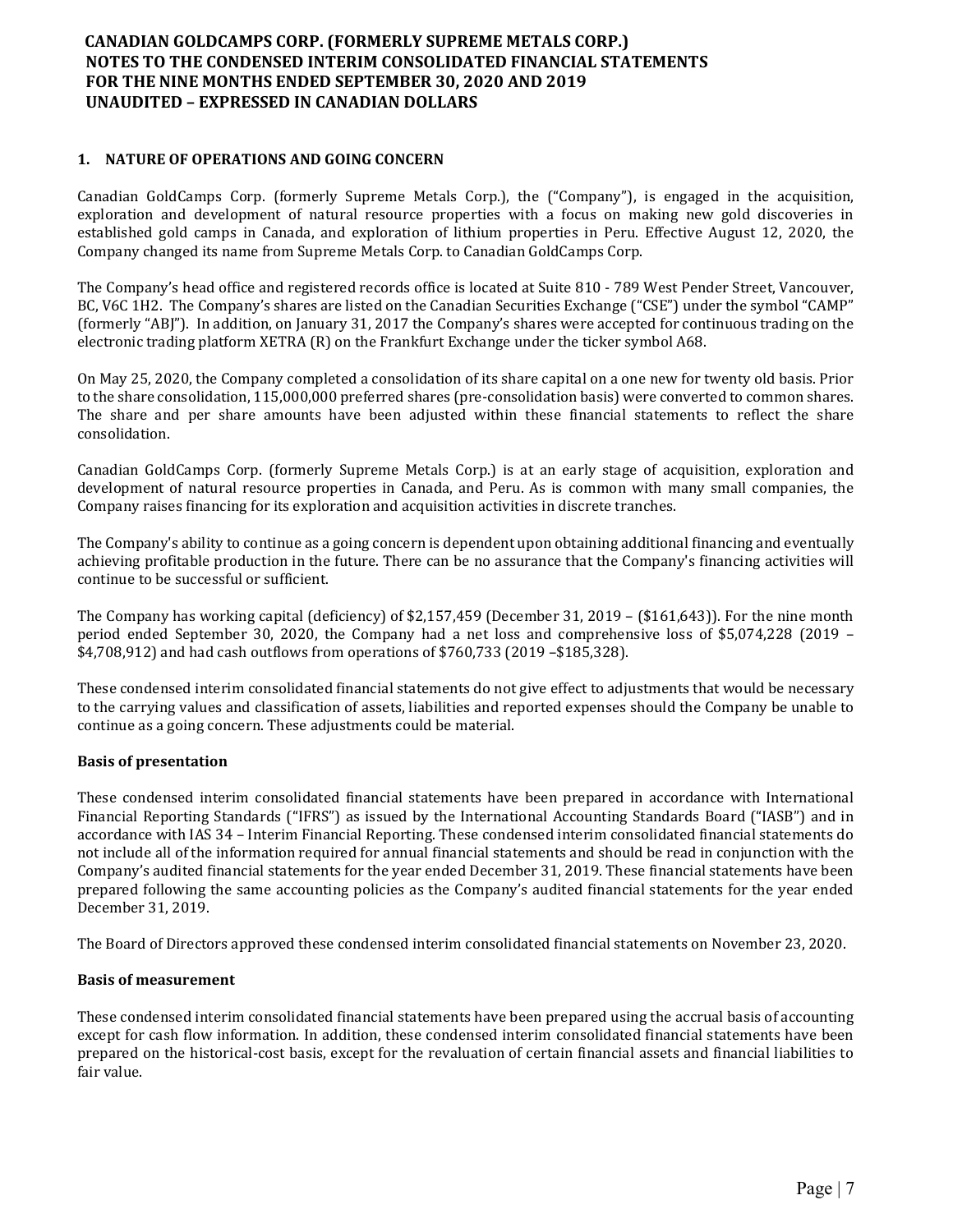### 1. NATURE OF OPERATIONS AND GOING CONCERN

Canadian GoldCamps Corp. (formerly Supreme Metals Corp.), the ("Company"), is engaged in the acquisition, exploration and development of natural resource properties with a focus on making new gold discoveries in established gold camps in Canada, and exploration of lithium properties in Peru. Effective August 12, 2020, the Company changed its name from Supreme Metals Corp. to Canadian GoldCamps Corp.

The Company's head office and registered records office is located at Suite 810 - 789 West Pender Street, Vancouver, BC, V6C 1H2. The Company's shares are listed on the Canadian Securities Exchange ("CSE") under the symbol "CAMP" (formerly "ABJ"). In addition, on January 31, 2017 the Company's shares were accepted for continuous trading on the electronic trading platform XETRA (R) on the Frankfurt Exchange under the ticker symbol A68.

On May 25, 2020, the Company completed a consolidation of its share capital on a one new for twenty old basis. Prior to the share consolidation, 115,000,000 preferred shares (pre-consolidation basis) were converted to common shares. The share and per share amounts have been adjusted within these financial statements to reflect the share consolidation.

Canadian GoldCamps Corp. (formerly Supreme Metals Corp.) is at an early stage of acquisition, exploration and development of natural resource properties in Canada, and Peru. As is common with many small companies, the Company raises financing for its exploration and acquisition activities in discrete tranches.

The Company's ability to continue as a going concern is dependent upon obtaining additional financing and eventually achieving profitable production in the future. There can be no assurance that the Company's financing activities will continue to be successful or sufficient.

The Company has working capital (deficiency) of \$2,157,459 (December 31, 2019 – (\$161,643)). For the nine month period ended September 30, 2020, the Company had a net loss and comprehensive loss of \$5,074,228 (2019 – \$4,708,912) and had cash outflows from operations of \$760,733 (2019 –\$185,328).

These condensed interim consolidated financial statements do not give effect to adjustments that would be necessary to the carrying values and classification of assets, liabilities and reported expenses should the Company be unable to continue as a going concern. These adjustments could be material.

#### Basis of presentation

These condensed interim consolidated financial statements have been prepared in accordance with International Financial Reporting Standards ("IFRS") as issued by the International Accounting Standards Board ("IASB") and in accordance with IAS 34 – Interim Financial Reporting. These condensed interim consolidated financial statements do not include all of the information required for annual financial statements and should be read in conjunction with the Company's audited financial statements for the year ended December 31, 2019. These financial statements have been prepared following the same accounting policies as the Company's audited financial statements for the year ended December 31, 2019.

The Board of Directors approved these condensed interim consolidated financial statements on November 23, 2020.

#### Basis of measurement

These condensed interim consolidated financial statements have been prepared using the accrual basis of accounting except for cash flow information. In addition, these condensed interim consolidated financial statements have been prepared on the historical-cost basis, except for the revaluation of certain financial assets and financial liabilities to fair value.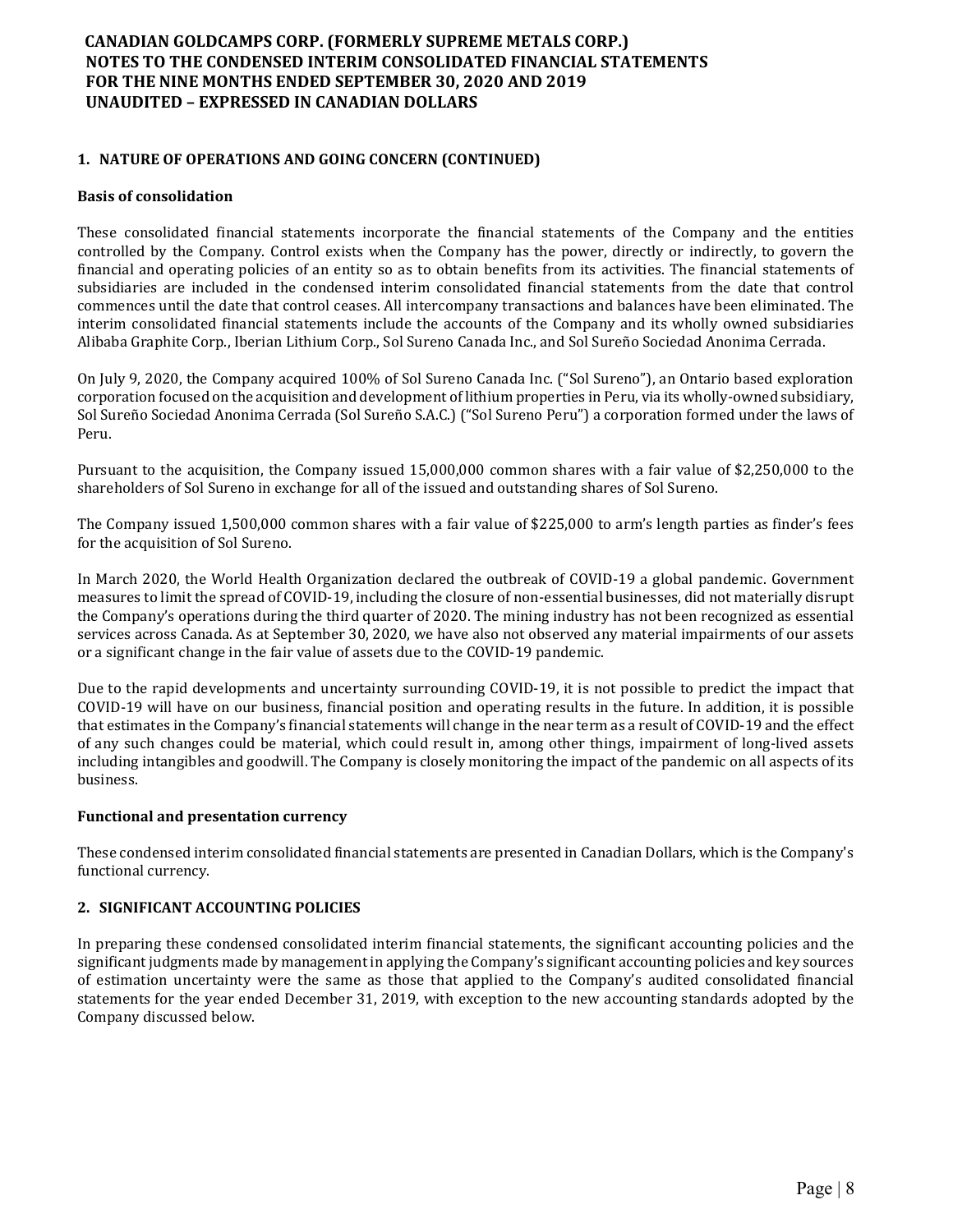### 1. NATURE OF OPERATIONS AND GOING CONCERN (CONTINUED)

#### Basis of consolidation

These consolidated financial statements incorporate the financial statements of the Company and the entities controlled by the Company. Control exists when the Company has the power, directly or indirectly, to govern the financial and operating policies of an entity so as to obtain benefits from its activities. The financial statements of subsidiaries are included in the condensed interim consolidated financial statements from the date that control commences until the date that control ceases. All intercompany transactions and balances have been eliminated. The interim consolidated financial statements include the accounts of the Company and its wholly owned subsidiaries Alibaba Graphite Corp., Iberian Lithium Corp., Sol Sureno Canada Inc., and Sol Sureño Sociedad Anonima Cerrada.

On July 9, 2020, the Company acquired 100% of Sol Sureno Canada Inc. ("Sol Sureno"), an Ontario based exploration corporation focused on the acquisition and development of lithium properties in Peru, via its wholly-owned subsidiary, Sol Sureño Sociedad Anonima Cerrada (Sol Sureño S.A.C.) ("Sol Sureno Peru") a corporation formed under the laws of Peru.

Pursuant to the acquisition, the Company issued 15,000,000 common shares with a fair value of \$2,250,000 to the shareholders of Sol Sureno in exchange for all of the issued and outstanding shares of Sol Sureno.

The Company issued 1,500,000 common shares with a fair value of \$225,000 to arm's length parties as finder's fees for the acquisition of Sol Sureno.

In March 2020, the World Health Organization declared the outbreak of COVID-19 a global pandemic. Government measures to limit the spread of COVID-19, including the closure of non-essential businesses, did not materially disrupt the Company's operations during the third quarter of 2020. The mining industry has not been recognized as essential services across Canada. As at September 30, 2020, we have also not observed any material impairments of our assets or a significant change in the fair value of assets due to the COVID-19 pandemic.

Due to the rapid developments and uncertainty surrounding COVID-19, it is not possible to predict the impact that COVID-19 will have on our business, financial position and operating results in the future. In addition, it is possible that estimates in the Company's financial statements will change in the near term as a result of COVID-19 and the effect of any such changes could be material, which could result in, among other things, impairment of long-lived assets including intangibles and goodwill. The Company is closely monitoring the impact of the pandemic on all aspects of its business.

#### Functional and presentation currency

These condensed interim consolidated financial statements are presented in Canadian Dollars, which is the Company's functional currency.

### 2. SIGNIFICANT ACCOUNTING POLICIES

In preparing these condensed consolidated interim financial statements, the significant accounting policies and the significant judgments made by management in applying the Company's significant accounting policies and key sources of estimation uncertainty were the same as those that applied to the Company's audited consolidated financial statements for the year ended December 31, 2019, with exception to the new accounting standards adopted by the Company discussed below.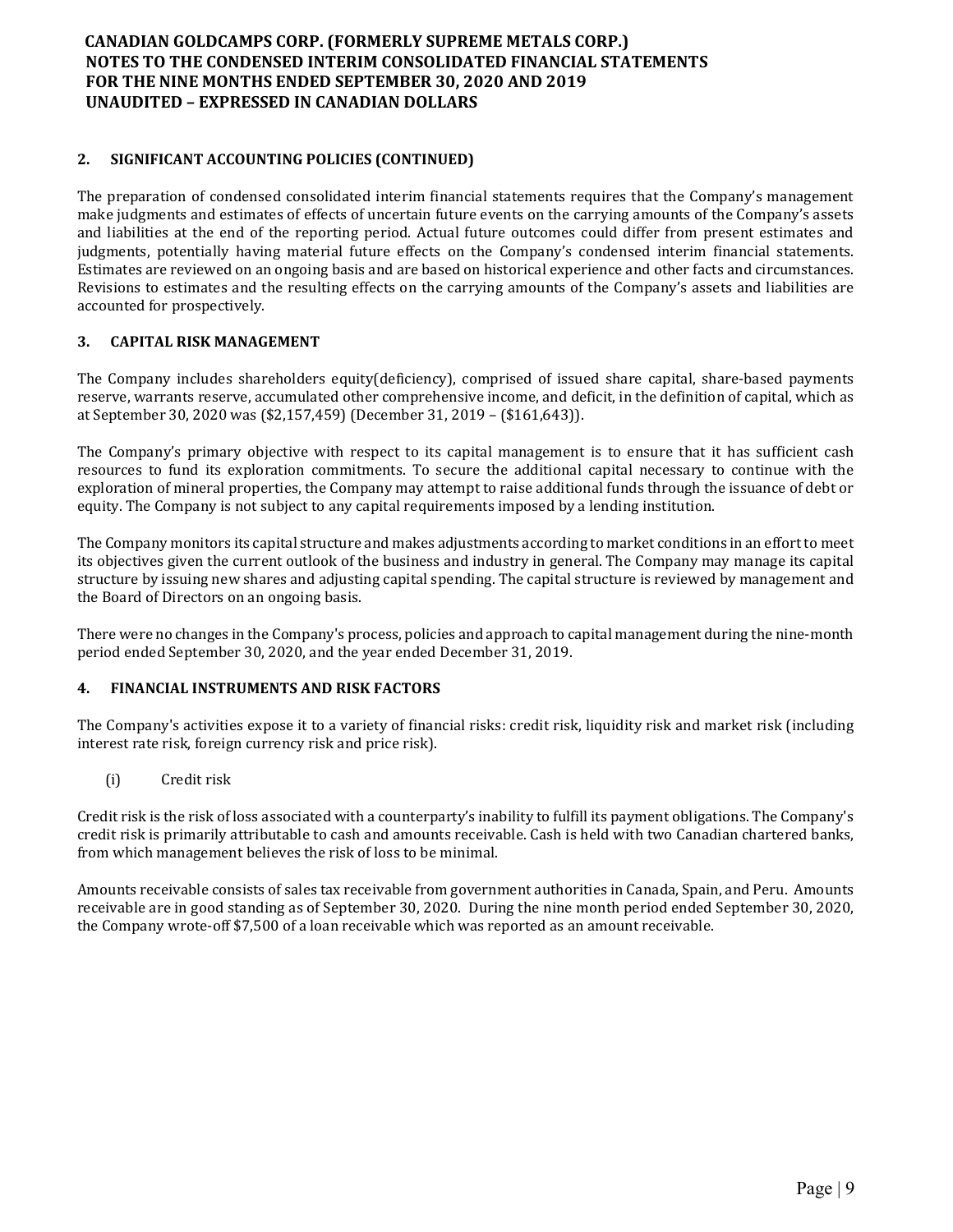## 2. SIGNIFICANT ACCOUNTING POLICIES (CONTINUED)

The preparation of condensed consolidated interim financial statements requires that the Company's management make judgments and estimates of effects of uncertain future events on the carrying amounts of the Company's assets and liabilities at the end of the reporting period. Actual future outcomes could differ from present estimates and judgments, potentially having material future effects on the Company's condensed interim financial statements. Estimates are reviewed on an ongoing basis and are based on historical experience and other facts and circumstances. Revisions to estimates and the resulting effects on the carrying amounts of the Company's assets and liabilities are accounted for prospectively.

### 3. CAPITAL RISK MANAGEMENT

The Company includes shareholders equity(deficiency), comprised of issued share capital, share-based payments reserve, warrants reserve, accumulated other comprehensive income, and deficit, in the definition of capital, which as at September 30, 2020 was (\$2,157,459) (December 31, 2019 – (\$161,643)).

The Company's primary objective with respect to its capital management is to ensure that it has sufficient cash resources to fund its exploration commitments. To secure the additional capital necessary to continue with the exploration of mineral properties, the Company may attempt to raise additional funds through the issuance of debt or equity. The Company is not subject to any capital requirements imposed by a lending institution.

The Company monitors its capital structure and makes adjustments according to market conditions in an effort to meet its objectives given the current outlook of the business and industry in general. The Company may manage its capital structure by issuing new shares and adjusting capital spending. The capital structure is reviewed by management and the Board of Directors on an ongoing basis.

There were no changes in the Company's process, policies and approach to capital management during the nine-month period ended September 30, 2020, and the year ended December 31, 2019.

#### 4. FINANCIAL INSTRUMENTS AND RISK FACTORS

The Company's activities expose it to a variety of financial risks: credit risk, liquidity risk and market risk (including interest rate risk, foreign currency risk and price risk).

(i) Credit risk

Credit risk is the risk of loss associated with a counterparty's inability to fulfill its payment obligations. The Company's credit risk is primarily attributable to cash and amounts receivable. Cash is held with two Canadian chartered banks, from which management believes the risk of loss to be minimal.

Amounts receivable consists of sales tax receivable from government authorities in Canada, Spain, and Peru. Amounts receivable are in good standing as of September 30, 2020. During the nine month period ended September 30, 2020, the Company wrote-off \$7,500 of a loan receivable which was reported as an amount receivable.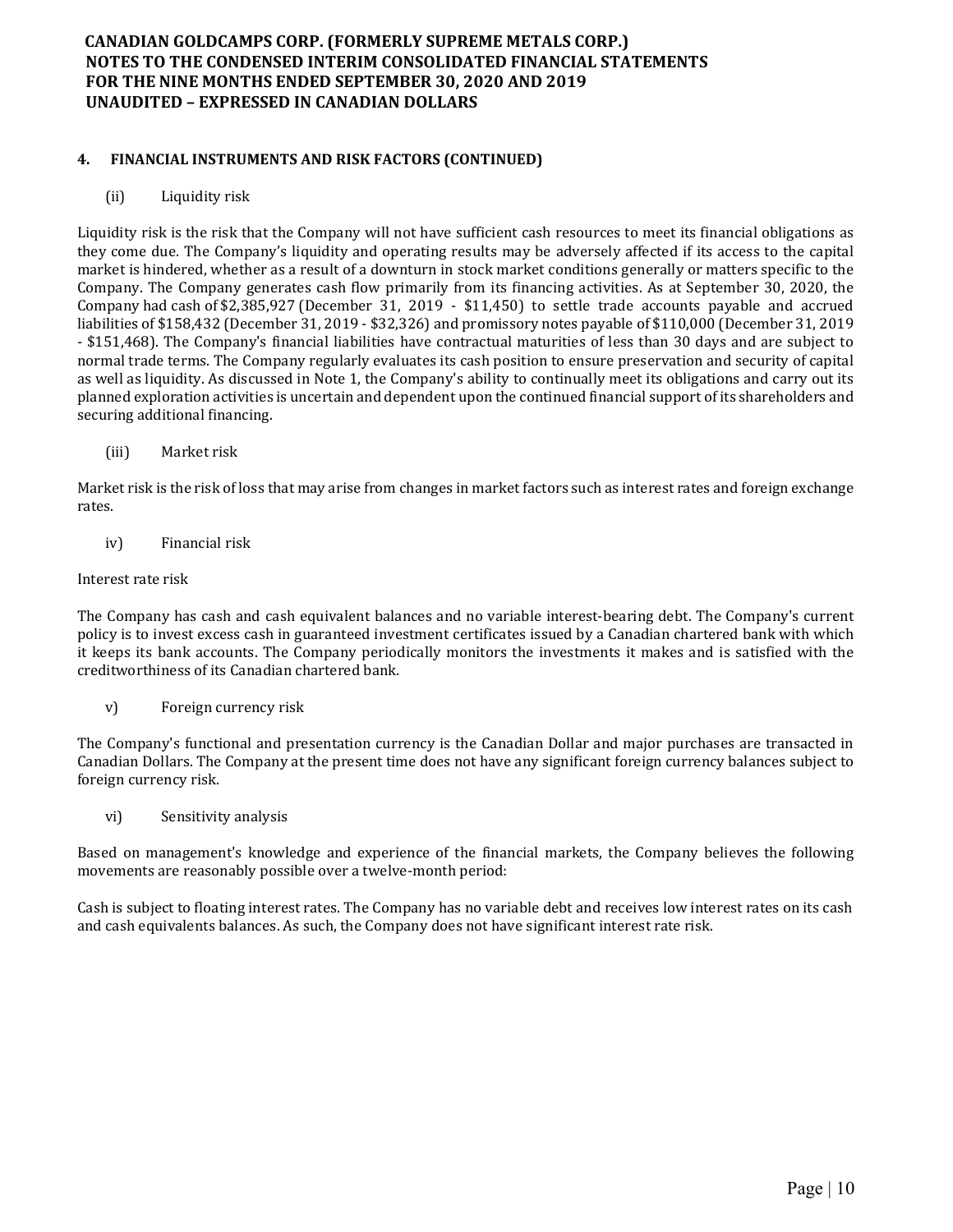### 4. FINANCIAL INSTRUMENTS AND RISK FACTORS (CONTINUED)

(ii) Liquidity risk

Liquidity risk is the risk that the Company will not have sufficient cash resources to meet its financial obligations as they come due. The Company's liquidity and operating results may be adversely affected if its access to the capital market is hindered, whether as a result of a downturn in stock market conditions generally or matters specific to the Company. The Company generates cash flow primarily from its financing activities. As at September 30, 2020, the Company had cash of \$2,385,927 (December 31, 2019 - \$11,450) to settle trade accounts payable and accrued liabilities of \$158,432 (December 31, 2019 - \$32,326) and promissory notes payable of \$110,000 (December 31, 2019 - \$151,468). The Company's financial liabilities have contractual maturities of less than 30 days and are subject to normal trade terms. The Company regularly evaluates its cash position to ensure preservation and security of capital as well as liquidity. As discussed in Note 1, the Company's ability to continually meet its obligations and carry out its planned exploration activities is uncertain and dependent upon the continued financial support of its shareholders and securing additional financing.

(iii) Market risk

Market risk is the risk of loss that may arise from changes in market factors such as interest rates and foreign exchange rates.

iv) Financial risk

#### Interest rate risk

The Company has cash and cash equivalent balances and no variable interest-bearing debt. The Company's current policy is to invest excess cash in guaranteed investment certificates issued by a Canadian chartered bank with which it keeps its bank accounts. The Company periodically monitors the investments it makes and is satisfied with the creditworthiness of its Canadian chartered bank.

v) Foreign currency risk

The Company's functional and presentation currency is the Canadian Dollar and major purchases are transacted in Canadian Dollars. The Company at the present time does not have any significant foreign currency balances subject to foreign currency risk.

vi) Sensitivity analysis

Based on management's knowledge and experience of the financial markets, the Company believes the following movements are reasonably possible over a twelve-month period:

Cash is subject to floating interest rates. The Company has no variable debt and receives low interest rates on its cash and cash equivalents balances. As such, the Company does not have significant interest rate risk.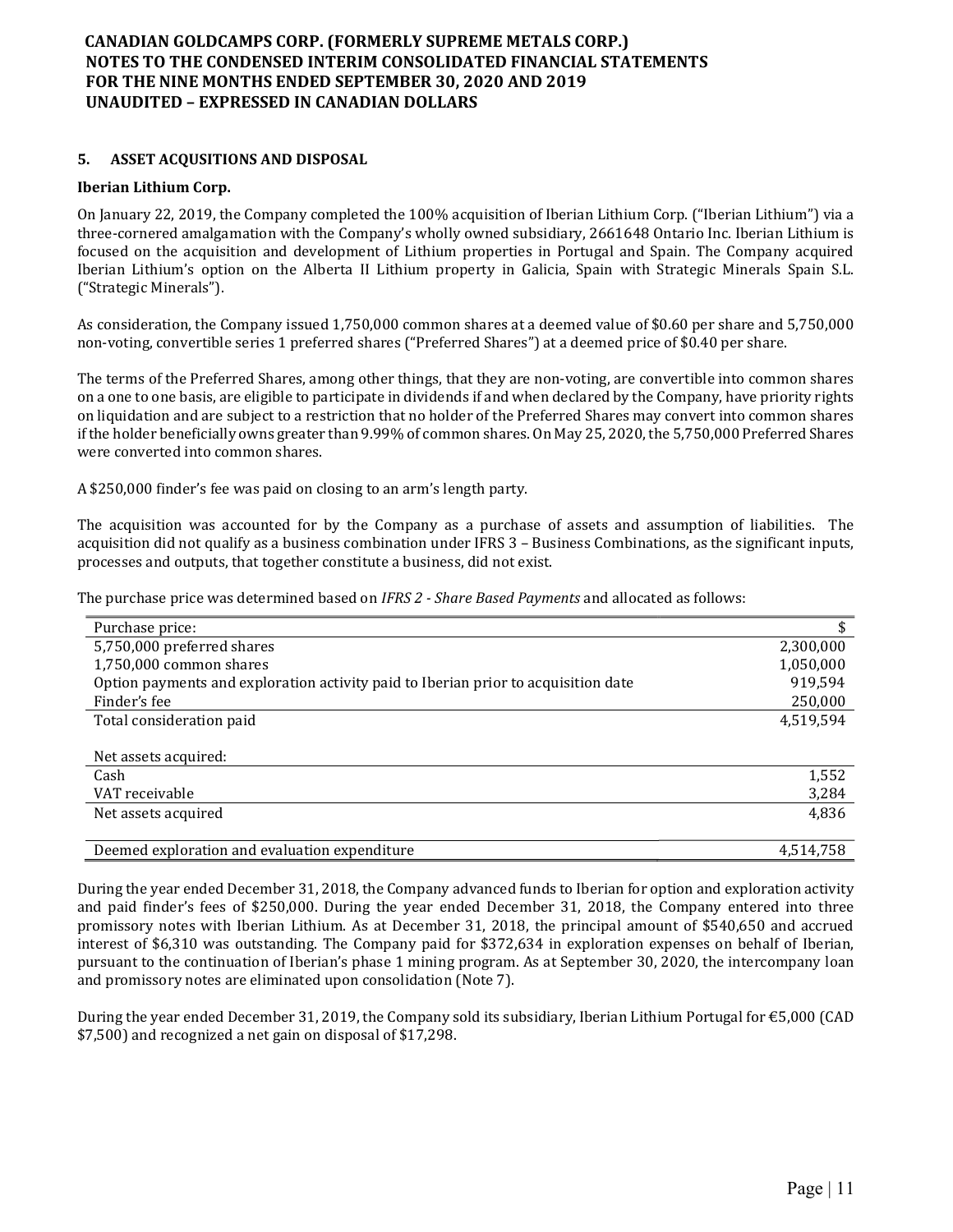### 5. ASSET ACQUSITIONS AND DISPOSAL

### Iberian Lithium Corp.

On January 22, 2019, the Company completed the 100% acquisition of Iberian Lithium Corp. ("Iberian Lithium") via a three-cornered amalgamation with the Company's wholly owned subsidiary, 2661648 Ontario Inc. Iberian Lithium is focused on the acquisition and development of Lithium properties in Portugal and Spain. The Company acquired Iberian Lithium's option on the Alberta II Lithium property in Galicia, Spain with Strategic Minerals Spain S.L. ("Strategic Minerals").

As consideration, the Company issued 1,750,000 common shares at a deemed value of \$0.60 per share and 5,750,000 non-voting, convertible series 1 preferred shares ("Preferred Shares") at a deemed price of \$0.40 per share.

The terms of the Preferred Shares, among other things, that they are non-voting, are convertible into common shares on a one to one basis, are eligible to participate in dividends if and when declared by the Company, have priority rights on liquidation and are subject to a restriction that no holder of the Preferred Shares may convert into common shares if the holder beneficially owns greater than 9.99% of common shares. On May 25, 2020, the 5,750,000 Preferred Shares were converted into common shares.

A \$250,000 finder's fee was paid on closing to an arm's length party.

The acquisition was accounted for by the Company as a purchase of assets and assumption of liabilities. The acquisition did not qualify as a business combination under IFRS 3 – Business Combinations, as the significant inputs, processes and outputs, that together constitute a business, did not exist.

The purchase price was determined based on IFRS 2 - Share Based Payments and allocated as follows:

| Purchase price:                                                                    |           |
|------------------------------------------------------------------------------------|-----------|
| 5,750,000 preferred shares                                                         | 2,300,000 |
| 1,750,000 common shares                                                            | 1,050,000 |
| Option payments and exploration activity paid to Iberian prior to acquisition date | 919,594   |
| Finder's fee                                                                       | 250,000   |
| Total consideration paid                                                           | 4,519,594 |
|                                                                                    |           |
| Net assets acquired:                                                               |           |
| Cash                                                                               | 1,552     |
| VAT receivable                                                                     | 3,284     |
| Net assets acquired                                                                | 4,836     |
|                                                                                    |           |
| Deemed exploration and evaluation expenditure                                      | 4.514.758 |

During the year ended December 31, 2018, the Company advanced funds to Iberian for option and exploration activity and paid finder's fees of \$250,000. During the year ended December 31, 2018, the Company entered into three promissory notes with Iberian Lithium. As at December 31, 2018, the principal amount of \$540,650 and accrued interest of \$6,310 was outstanding. The Company paid for \$372,634 in exploration expenses on behalf of Iberian, pursuant to the continuation of Iberian's phase 1 mining program. As at September 30, 2020, the intercompany loan and promissory notes are eliminated upon consolidation (Note 7).

During the year ended December 31, 2019, the Company sold its subsidiary, Iberian Lithium Portugal for €5,000 (CAD \$7,500) and recognized a net gain on disposal of \$17,298.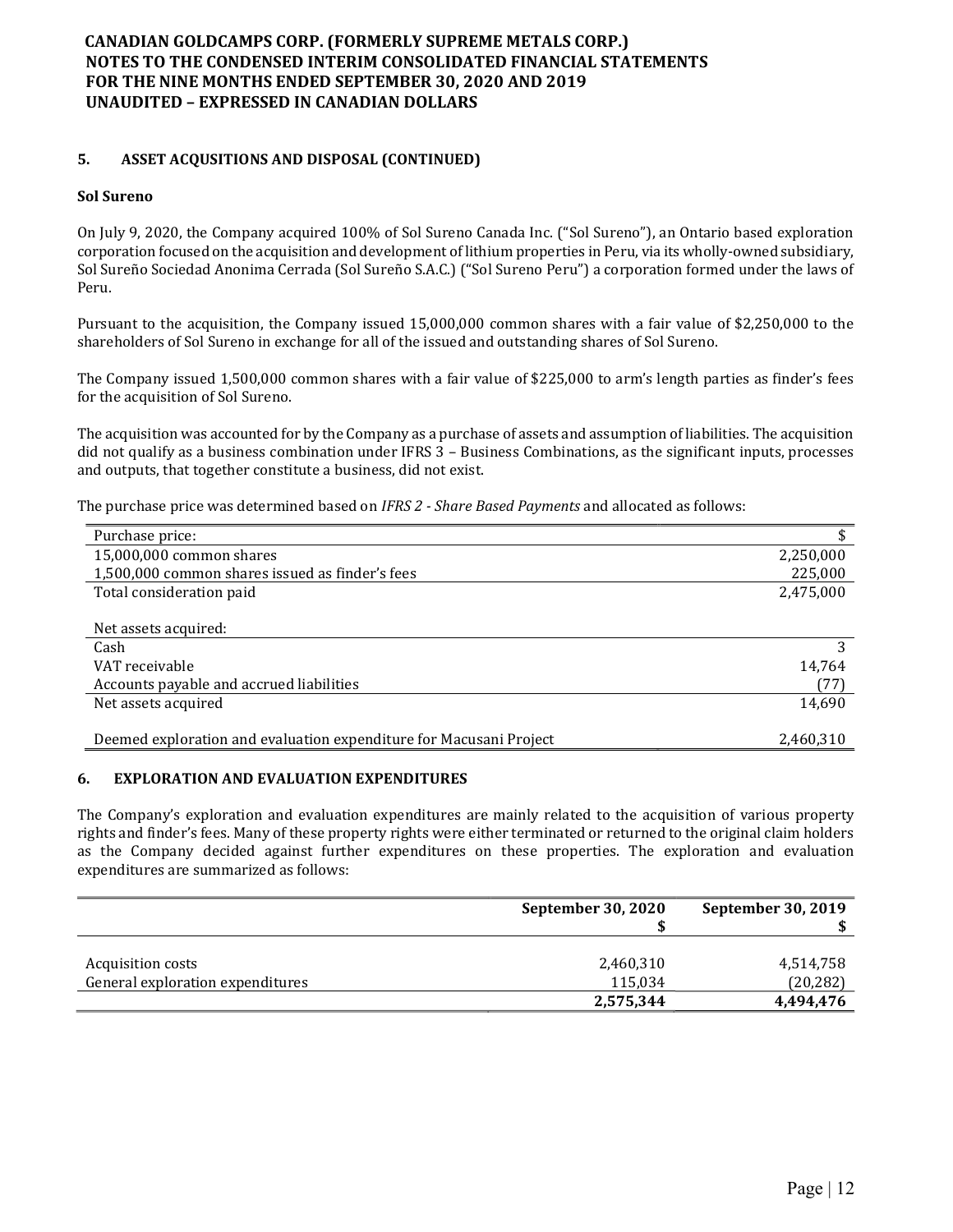### 5. ASSET ACQUSITIONS AND DISPOSAL (CONTINUED)

### Sol Sureno

On July 9, 2020, the Company acquired 100% of Sol Sureno Canada Inc. ("Sol Sureno"), an Ontario based exploration corporation focused on the acquisition and development of lithium properties in Peru, via its wholly-owned subsidiary, Sol Sureño Sociedad Anonima Cerrada (Sol Sureño S.A.C.) ("Sol Sureno Peru") a corporation formed under the laws of Peru.

Pursuant to the acquisition, the Company issued 15,000,000 common shares with a fair value of \$2,250,000 to the shareholders of Sol Sureno in exchange for all of the issued and outstanding shares of Sol Sureno.

The Company issued 1,500,000 common shares with a fair value of \$225,000 to arm's length parties as finder's fees for the acquisition of Sol Sureno.

The acquisition was accounted for by the Company as a purchase of assets and assumption of liabilities. The acquisition did not qualify as a business combination under IFRS 3 – Business Combinations, as the significant inputs, processes and outputs, that together constitute a business, did not exist.

The purchase price was determined based on IFRS 2 - Share Based Payments and allocated as follows:

| Purchase price:                                                    |           |
|--------------------------------------------------------------------|-----------|
| 15,000,000 common shares                                           | 2,250,000 |
| 1,500,000 common shares issued as finder's fees                    | 225,000   |
| Total consideration paid                                           | 2,475,000 |
|                                                                    |           |
| Net assets acquired:                                               |           |
| Cash                                                               |           |
| VAT receivable                                                     | 14,764    |
| Accounts payable and accrued liabilities                           | (77)      |
| Net assets acquired                                                | 14,690    |
|                                                                    |           |
| Deemed exploration and evaluation expenditure for Macusani Project | 2,460,310 |

#### 6. EXPLORATION AND EVALUATION EXPENDITURES

The Company's exploration and evaluation expenditures are mainly related to the acquisition of various property rights and finder's fees. Many of these property rights were either terminated or returned to the original claim holders as the Company decided against further expenditures on these properties. The exploration and evaluation expenditures are summarized as follows:

|                                  | September 30, 2020   | September 30, 2019     |
|----------------------------------|----------------------|------------------------|
| Acquisition costs                | 2,460,310            | 4,514,758              |
| General exploration expenditures | 115,034<br>2,575,344 | (20, 282)<br>4,494,476 |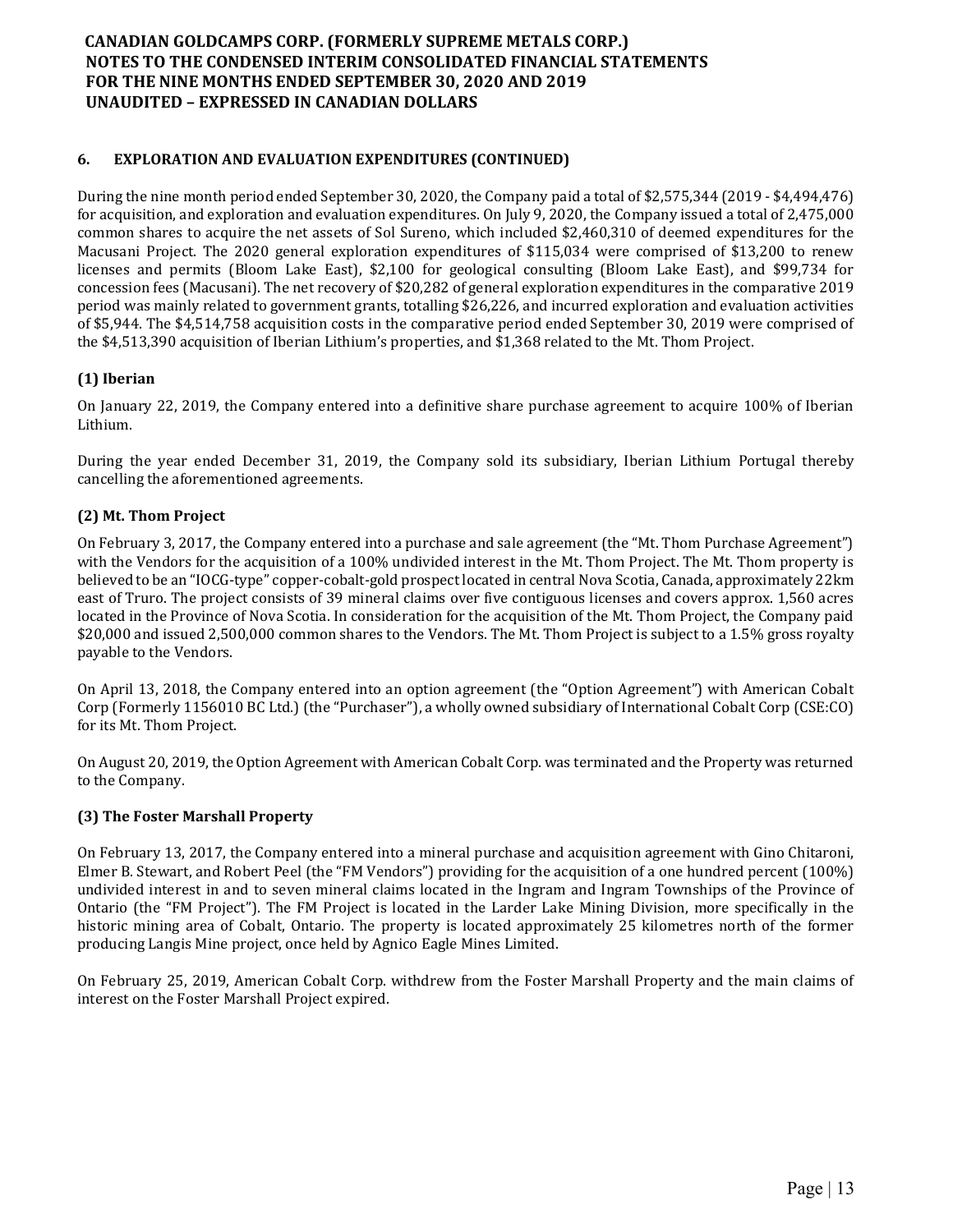## 6. EXPLORATION AND EVALUATION EXPENDITURES (CONTINUED)

During the nine month period ended September 30, 2020, the Company paid a total of \$2,575,344 (2019 - \$4,494,476) for acquisition, and exploration and evaluation expenditures. On July 9, 2020, the Company issued a total of 2,475,000 common shares to acquire the net assets of Sol Sureno, which included \$2,460,310 of deemed expenditures for the Macusani Project. The 2020 general exploration expenditures of \$115,034 were comprised of \$13,200 to renew licenses and permits (Bloom Lake East), \$2,100 for geological consulting (Bloom Lake East), and \$99,734 for concession fees (Macusani). The net recovery of \$20,282 of general exploration expenditures in the comparative 2019 period was mainly related to government grants, totalling \$26,226, and incurred exploration and evaluation activities of \$5,944. The \$4,514,758 acquisition costs in the comparative period ended September 30, 2019 were comprised of the \$4,513,390 acquisition of Iberian Lithium's properties, and \$1,368 related to the Mt. Thom Project.

## (1) Iberian

On January 22, 2019, the Company entered into a definitive share purchase agreement to acquire 100% of Iberian Lithium.

During the year ended December 31, 2019, the Company sold its subsidiary, Iberian Lithium Portugal thereby cancelling the aforementioned agreements.

## (2) Mt. Thom Project

On February 3, 2017, the Company entered into a purchase and sale agreement (the "Mt. Thom Purchase Agreement") with the Vendors for the acquisition of a 100% undivided interest in the Mt. Thom Project. The Mt. Thom property is believed to be an "IOCG-type" copper-cobalt-gold prospect located in central Nova Scotia, Canada, approximately 22km east of Truro. The project consists of 39 mineral claims over five contiguous licenses and covers approx. 1,560 acres located in the Province of Nova Scotia. In consideration for the acquisition of the Mt. Thom Project, the Company paid \$20,000 and issued 2,500,000 common shares to the Vendors. The Mt. Thom Project is subject to a 1.5% gross royalty payable to the Vendors.

On April 13, 2018, the Company entered into an option agreement (the "Option Agreement") with American Cobalt Corp (Formerly 1156010 BC Ltd.) (the "Purchaser"), a wholly owned subsidiary of International Cobalt Corp (CSE:CO) for its Mt. Thom Project.

On August 20, 2019, the Option Agreement with American Cobalt Corp. was terminated and the Property was returned to the Company.

### (3) The Foster Marshall Property

On February 13, 2017, the Company entered into a mineral purchase and acquisition agreement with Gino Chitaroni, Elmer B. Stewart, and Robert Peel (the "FM Vendors") providing for the acquisition of a one hundred percent (100%) undivided interest in and to seven mineral claims located in the Ingram and Ingram Townships of the Province of Ontario (the "FM Project"). The FM Project is located in the Larder Lake Mining Division, more specifically in the historic mining area of Cobalt, Ontario. The property is located approximately 25 kilometres north of the former producing Langis Mine project, once held by Agnico Eagle Mines Limited.

On February 25, 2019, American Cobalt Corp. withdrew from the Foster Marshall Property and the main claims of interest on the Foster Marshall Project expired.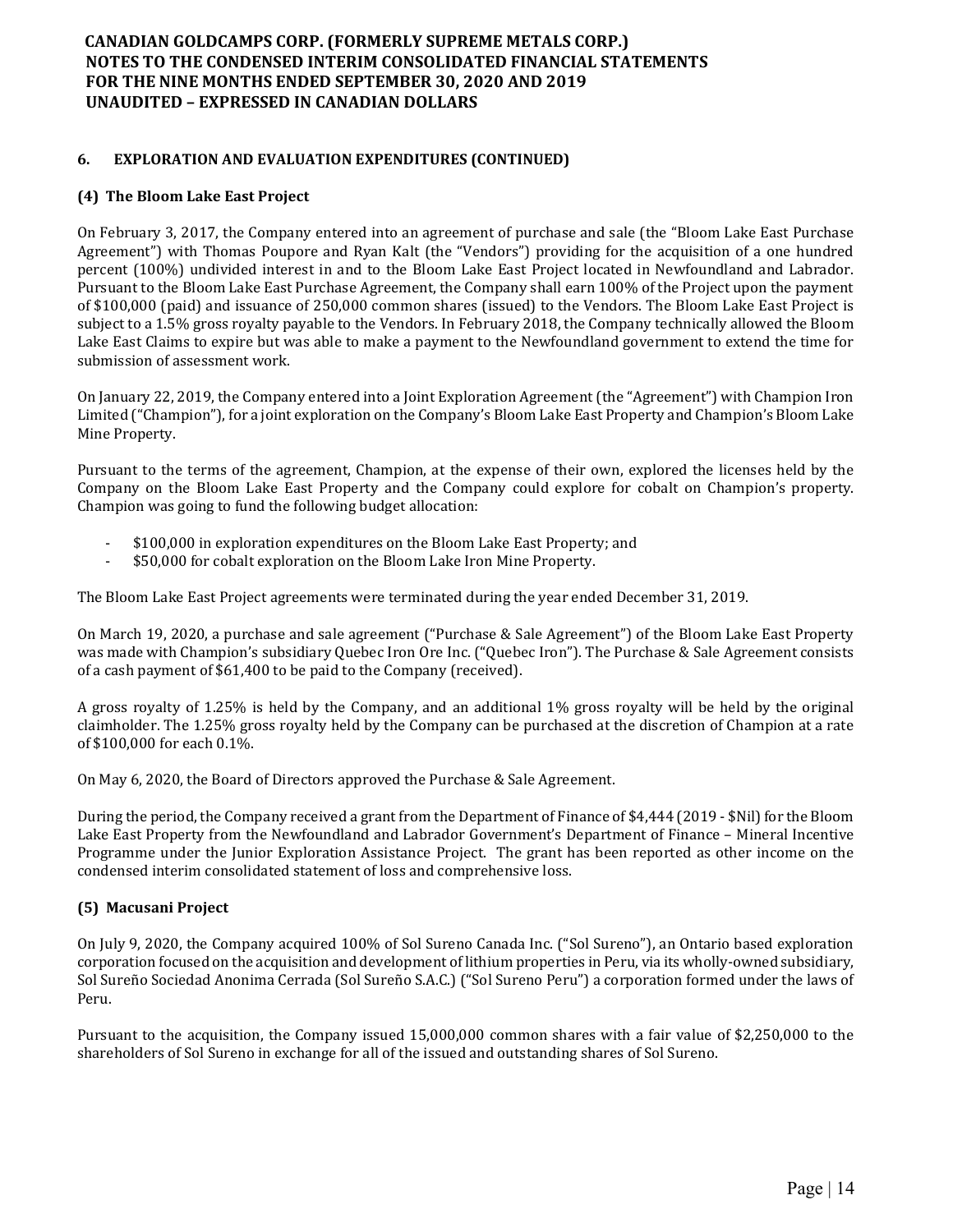### 6. EXPLORATION AND EVALUATION EXPENDITURES (CONTINUED)

### (4) The Bloom Lake East Project

On February 3, 2017, the Company entered into an agreement of purchase and sale (the "Bloom Lake East Purchase Agreement") with Thomas Poupore and Ryan Kalt (the "Vendors") providing for the acquisition of a one hundred percent (100%) undivided interest in and to the Bloom Lake East Project located in Newfoundland and Labrador. Pursuant to the Bloom Lake East Purchase Agreement, the Company shall earn 100% of the Project upon the payment of \$100,000 (paid) and issuance of 250,000 common shares (issued) to the Vendors. The Bloom Lake East Project is subject to a 1.5% gross royalty payable to the Vendors. In February 2018, the Company technically allowed the Bloom Lake East Claims to expire but was able to make a payment to the Newfoundland government to extend the time for submission of assessment work.

On January 22, 2019, the Company entered into a Joint Exploration Agreement (the "Agreement") with Champion Iron Limited ("Champion"), for a joint exploration on the Company's Bloom Lake East Property and Champion's Bloom Lake Mine Property.

Pursuant to the terms of the agreement, Champion, at the expense of their own, explored the licenses held by the Company on the Bloom Lake East Property and the Company could explore for cobalt on Champion's property. Champion was going to fund the following budget allocation:

- \$100,000 in exploration expenditures on the Bloom Lake East Property; and
- \$50,000 for cobalt exploration on the Bloom Lake Iron Mine Property.

The Bloom Lake East Project agreements were terminated during the year ended December 31, 2019.

On March 19, 2020, a purchase and sale agreement ("Purchase & Sale Agreement") of the Bloom Lake East Property was made with Champion's subsidiary Quebec Iron Ore Inc. ("Quebec Iron"). The Purchase & Sale Agreement consists of a cash payment of \$61,400 to be paid to the Company (received).

A gross royalty of 1.25% is held by the Company, and an additional 1% gross royalty will be held by the original claimholder. The 1.25% gross royalty held by the Company can be purchased at the discretion of Champion at a rate of \$100,000 for each 0.1%.

On May 6, 2020, the Board of Directors approved the Purchase & Sale Agreement.

During the period, the Company received a grant from the Department of Finance of \$4,444 (2019 - \$Nil) for the Bloom Lake East Property from the Newfoundland and Labrador Government's Department of Finance – Mineral Incentive Programme under the Junior Exploration Assistance Project. The grant has been reported as other income on the condensed interim consolidated statement of loss and comprehensive loss.

### (5) Macusani Project

On July 9, 2020, the Company acquired 100% of Sol Sureno Canada Inc. ("Sol Sureno"), an Ontario based exploration corporation focused on the acquisition and development of lithium properties in Peru, via its wholly-owned subsidiary, Sol Sureño Sociedad Anonima Cerrada (Sol Sureño S.A.C.) ("Sol Sureno Peru") a corporation formed under the laws of Peru.

Pursuant to the acquisition, the Company issued 15,000,000 common shares with a fair value of \$2,250,000 to the shareholders of Sol Sureno in exchange for all of the issued and outstanding shares of Sol Sureno.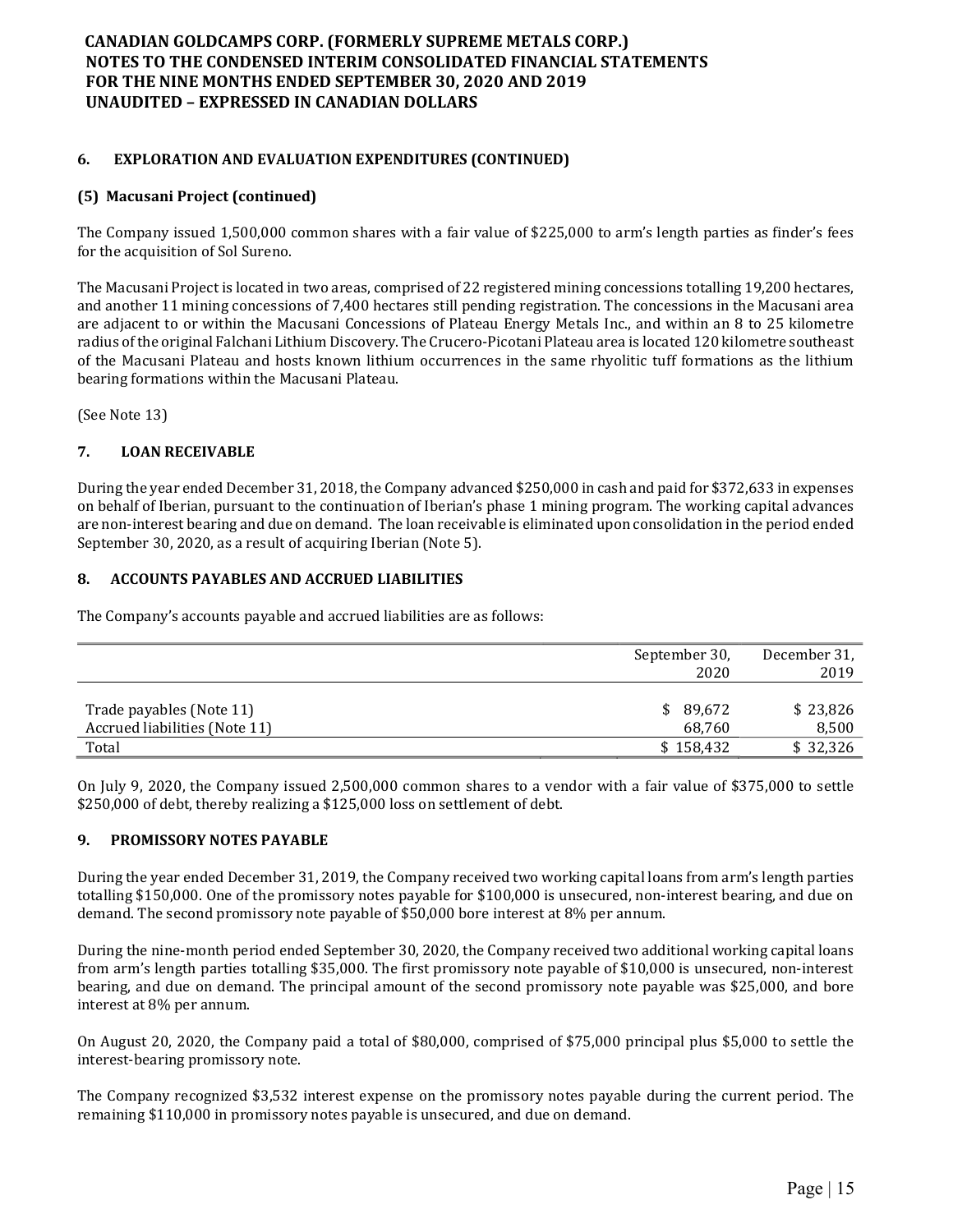## 6. EXPLORATION AND EVALUATION EXPENDITURES (CONTINUED)

### (5) Macusani Project (continued)

The Company issued 1,500,000 common shares with a fair value of \$225,000 to arm's length parties as finder's fees for the acquisition of Sol Sureno.

The Macusani Project is located in two areas, comprised of 22 registered mining concessions totalling 19,200 hectares, and another 11 mining concessions of 7,400 hectares still pending registration. The concessions in the Macusani area are adjacent to or within the Macusani Concessions of Plateau Energy Metals Inc., and within an 8 to 25 kilometre radius of the original Falchani Lithium Discovery. The Crucero-Picotani Plateau area is located 120 kilometre southeast of the Macusani Plateau and hosts known lithium occurrences in the same rhyolitic tuff formations as the lithium bearing formations within the Macusani Plateau.

(See Note 13)

### 7. LOAN RECEIVABLE

During the year ended December 31, 2018, the Company advanced \$250,000 in cash and paid for \$372,633 in expenses on behalf of Iberian, pursuant to the continuation of Iberian's phase 1 mining program. The working capital advances are non-interest bearing and due on demand. The loan receivable is eliminated upon consolidation in the period ended September 30, 2020, as a result of acquiring Iberian (Note 5).

### 8. ACCOUNTS PAYABLES AND ACCRUED LIABILITIES

The Company's accounts payable and accrued liabilities are as follows:

|                               | September 30, | December 31, |
|-------------------------------|---------------|--------------|
|                               | 2020          | 2019         |
|                               |               |              |
| Trade payables (Note 11)      | \$89,672      | \$23,826     |
| Accrued liabilities (Note 11) | 68.760        | 8,500        |
| Total                         | \$158,432     | \$32,326     |

On July 9, 2020, the Company issued 2,500,000 common shares to a vendor with a fair value of \$375,000 to settle \$250,000 of debt, thereby realizing a \$125,000 loss on settlement of debt.

### 9. PROMISSORY NOTES PAYABLE

During the year ended December 31, 2019, the Company received two working capital loans from arm's length parties totalling \$150,000. One of the promissory notes payable for \$100,000 is unsecured, non-interest bearing, and due on demand. The second promissory note payable of \$50,000 bore interest at 8% per annum.

During the nine-month period ended September 30, 2020, the Company received two additional working capital loans from arm's length parties totalling \$35,000. The first promissory note payable of \$10,000 is unsecured, non-interest bearing, and due on demand. The principal amount of the second promissory note payable was \$25,000, and bore interest at 8% per annum.

On August 20, 2020, the Company paid a total of \$80,000, comprised of \$75,000 principal plus \$5,000 to settle the interest-bearing promissory note.

The Company recognized \$3,532 interest expense on the promissory notes payable during the current period. The remaining \$110,000 in promissory notes payable is unsecured, and due on demand.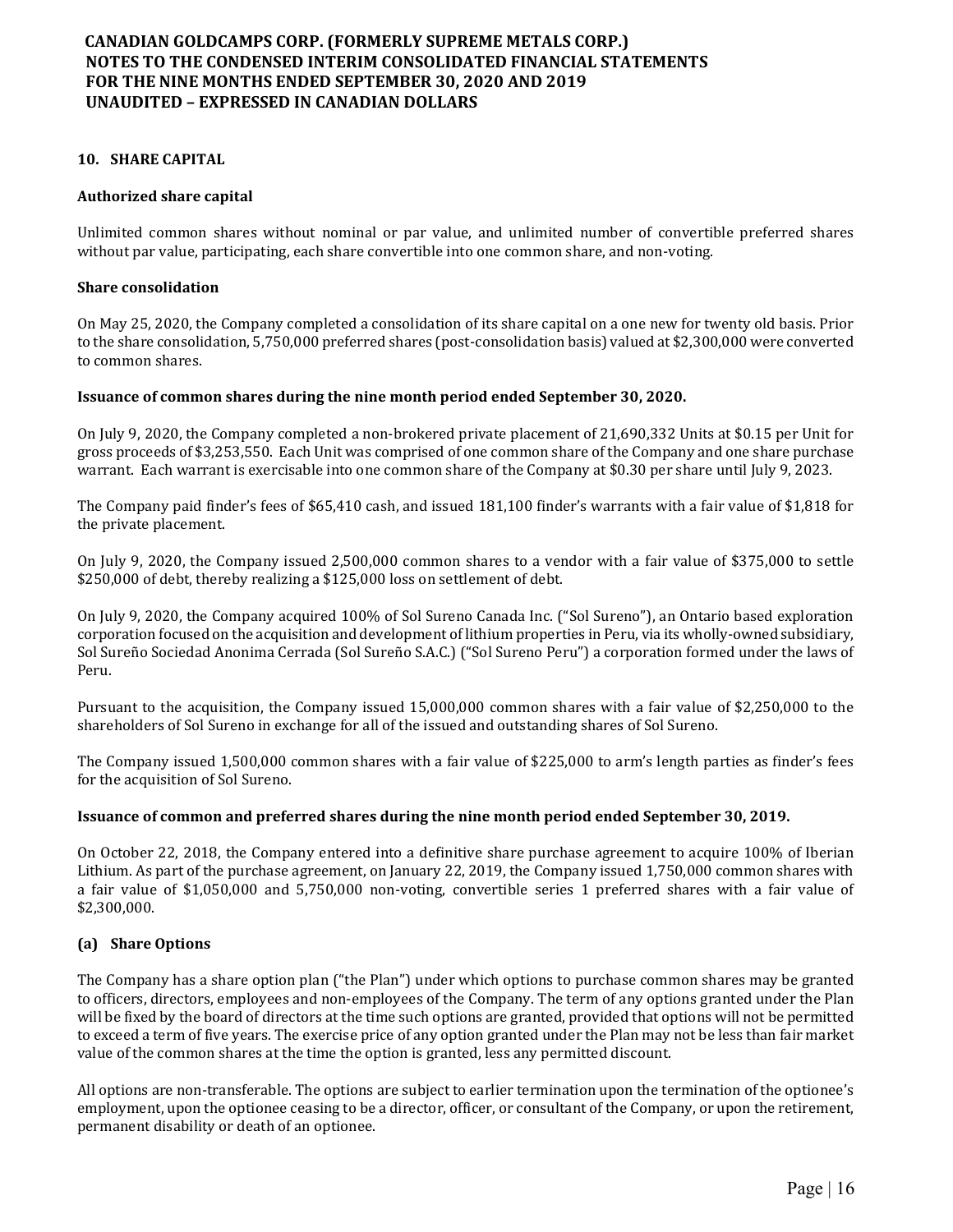#### 10. SHARE CAPITAL

#### Authorized share capital

Unlimited common shares without nominal or par value, and unlimited number of convertible preferred shares without par value, participating, each share convertible into one common share, and non-voting.

#### Share consolidation

On May 25, 2020, the Company completed a consolidation of its share capital on a one new for twenty old basis. Prior to the share consolidation, 5,750,000 preferred shares (post-consolidation basis) valued at \$2,300,000 were converted to common shares.

#### Issuance of common shares during the nine month period ended September 30, 2020.

On July 9, 2020, the Company completed a non-brokered private placement of 21,690,332 Units at \$0.15 per Unit for gross proceeds of \$3,253,550. Each Unit was comprised of one common share of the Company and one share purchase warrant. Each warrant is exercisable into one common share of the Company at \$0.30 per share until July 9, 2023.

The Company paid finder's fees of \$65,410 cash, and issued 181,100 finder's warrants with a fair value of \$1,818 for the private placement.

On July 9, 2020, the Company issued 2,500,000 common shares to a vendor with a fair value of \$375,000 to settle \$250,000 of debt, thereby realizing a \$125,000 loss on settlement of debt.

On July 9, 2020, the Company acquired 100% of Sol Sureno Canada Inc. ("Sol Sureno"), an Ontario based exploration corporation focused on the acquisition and development of lithium properties in Peru, via its wholly-owned subsidiary, Sol Sureño Sociedad Anonima Cerrada (Sol Sureño S.A.C.) ("Sol Sureno Peru") a corporation formed under the laws of Peru.

Pursuant to the acquisition, the Company issued 15,000,000 common shares with a fair value of \$2,250,000 to the shareholders of Sol Sureno in exchange for all of the issued and outstanding shares of Sol Sureno.

The Company issued 1,500,000 common shares with a fair value of \$225,000 to arm's length parties as finder's fees for the acquisition of Sol Sureno.

#### Issuance of common and preferred shares during the nine month period ended September 30, 2019.

On October 22, 2018, the Company entered into a definitive share purchase agreement to acquire 100% of Iberian Lithium. As part of the purchase agreement, on January 22, 2019, the Company issued 1,750,000 common shares with a fair value of \$1,050,000 and 5,750,000 non-voting, convertible series 1 preferred shares with a fair value of \$2,300,000.

#### (a) Share Options

The Company has a share option plan ("the Plan") under which options to purchase common shares may be granted to officers, directors, employees and non-employees of the Company. The term of any options granted under the Plan will be fixed by the board of directors at the time such options are granted, provided that options will not be permitted to exceed a term of five years. The exercise price of any option granted under the Plan may not be less than fair market value of the common shares at the time the option is granted, less any permitted discount.

All options are non-transferable. The options are subject to earlier termination upon the termination of the optionee's employment, upon the optionee ceasing to be a director, officer, or consultant of the Company, or upon the retirement, permanent disability or death of an optionee.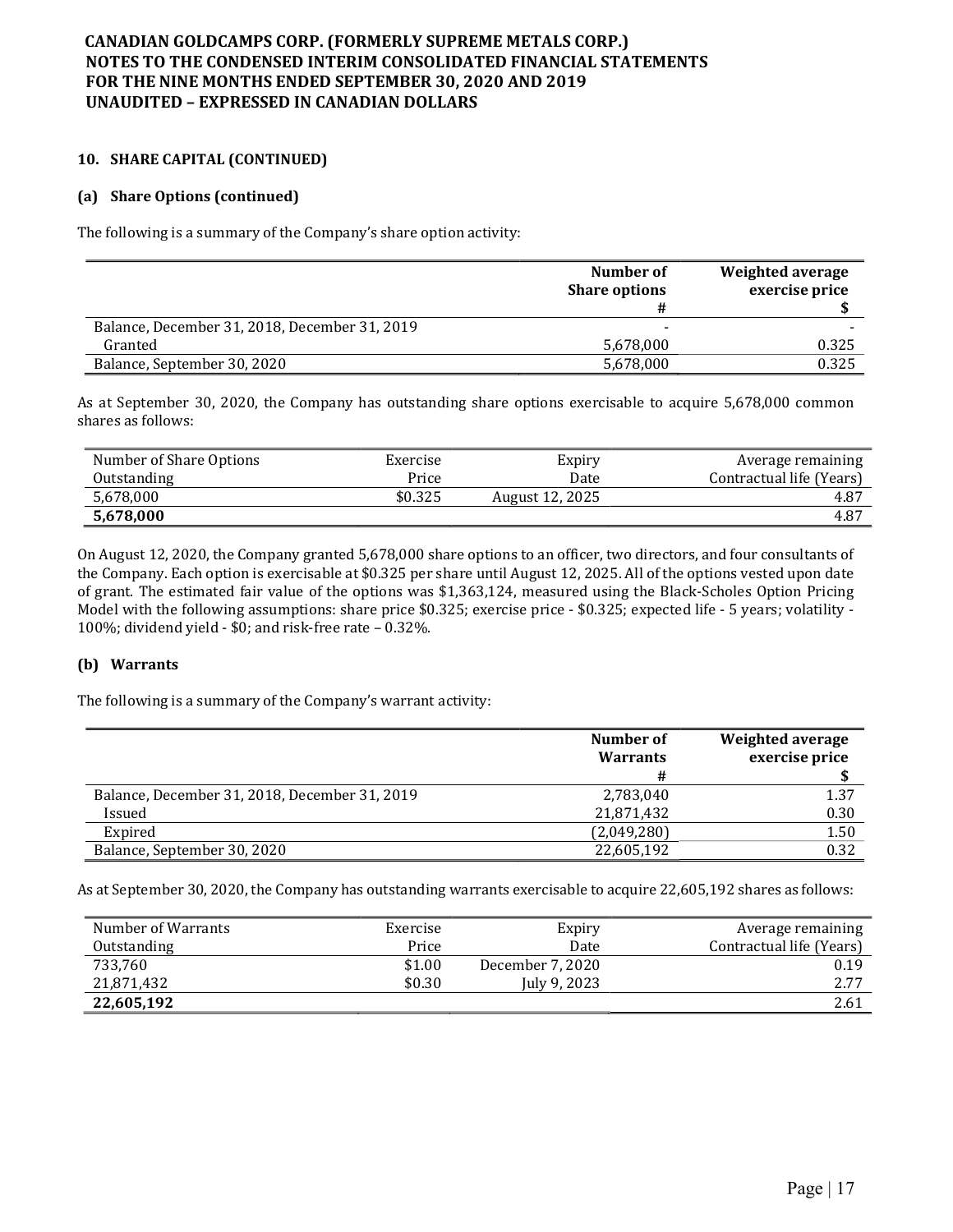### 10. SHARE CAPITAL (CONTINUED)

### (a) Share Options (continued)

The following is a summary of the Company's share option activity:

|                                               | Number of<br><b>Share options</b> | Weighted average<br>exercise price |
|-----------------------------------------------|-----------------------------------|------------------------------------|
| Balance, December 31, 2018, December 31, 2019 |                                   |                                    |
| Granted                                       | 5,678,000                         | 0.325                              |
| Balance, September 30, 2020                   | 5,678,000                         | 0.325                              |

As at September 30, 2020, the Company has outstanding share options exercisable to acquire 5,678,000 common shares as follows:

| Number of Share Options | Exercise | Expiry          | Average remaining        |
|-------------------------|----------|-----------------|--------------------------|
| Outstanding             | Price    | Date            | Contractual life (Years) |
| 5,678,000               | \$0.325  | August 12, 2025 | 4.87                     |
| 5,678,000               |          |                 | 4.87                     |

On August 12, 2020, the Company granted 5,678,000 share options to an officer, two directors, and four consultants of the Company. Each option is exercisable at \$0.325 per share until August 12, 2025. All of the options vested upon date of grant. The estimated fair value of the options was \$1,363,124, measured using the Black-Scholes Option Pricing Model with the following assumptions: share price \$0.325; exercise price - \$0.325; expected life - 5 years; volatility - 100%; dividend yield - \$0; and risk-free rate – 0.32%.

### (b) Warrants

The following is a summary of the Company's warrant activity:

|                                               | Number of<br><b>Warrants</b> | Weighted average<br>exercise price |
|-----------------------------------------------|------------------------------|------------------------------------|
| Balance, December 31, 2018, December 31, 2019 | 2,783,040                    | 1.37                               |
| Issued                                        | 21,871,432                   | 0.30                               |
| Expired                                       | (2,049,280)                  | 1.50                               |
| Balance, September 30, 2020                   | 22,605,192                   | 0.32                               |

As at September 30, 2020, the Company has outstanding warrants exercisable to acquire 22,605,192 shares as follows:

| Number of Warrants | Exercise | Expiry           | Average remaining        |
|--------------------|----------|------------------|--------------------------|
| Outstanding        | Price    | Date             | Contractual life (Years) |
| 733,760            | \$1.00   | December 7, 2020 | 0.19                     |
| 21,871,432         | \$0.30   | July 9, 2023     | 2.77                     |
| 22,605,192         |          |                  | 2.61                     |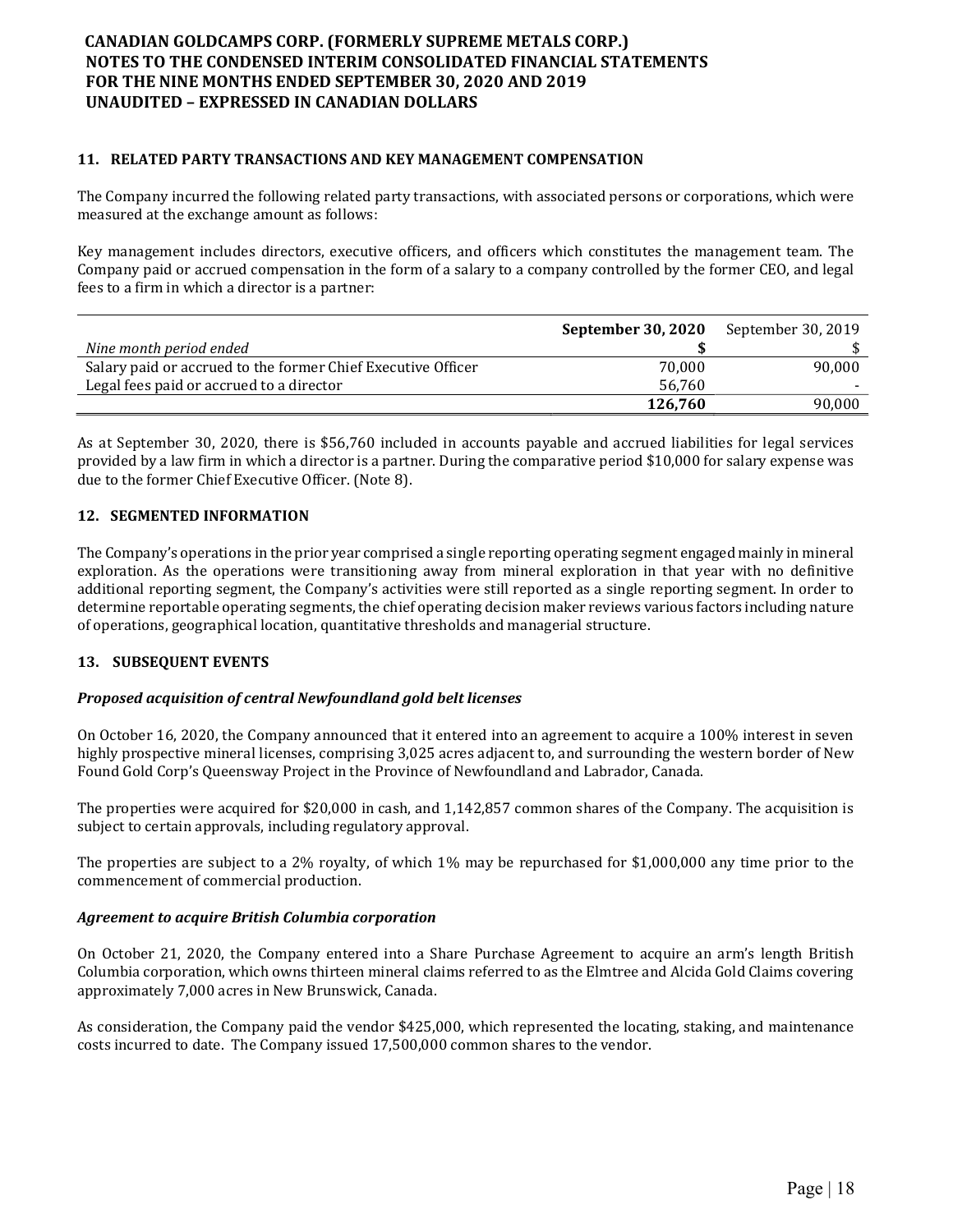### 11. RELATED PARTY TRANSACTIONS AND KEY MANAGEMENT COMPENSATION

The Company incurred the following related party transactions, with associated persons or corporations, which were measured at the exchange amount as follows:

Key management includes directors, executive officers, and officers which constitutes the management team. The Company paid or accrued compensation in the form of a salary to a company controlled by the former CEO, and legal fees to a firm in which a director is a partner:

|                                                              | September 30, 2020 | September 30, 2019 |
|--------------------------------------------------------------|--------------------|--------------------|
| Nine month period ended                                      |                    |                    |
| Salary paid or accrued to the former Chief Executive Officer | 70.000             | 90.000             |
| Legal fees paid or accrued to a director                     | 56.760             |                    |
|                                                              | 126,760            | 90.000             |

As at September 30, 2020, there is \$56,760 included in accounts payable and accrued liabilities for legal services provided by a law firm in which a director is a partner. During the comparative period \$10,000 for salary expense was due to the former Chief Executive Officer. (Note 8).

### 12. SEGMENTED INFORMATION

The Company's operations in the prior year comprised a single reporting operating segment engaged mainly in mineral exploration. As the operations were transitioning away from mineral exploration in that year with no definitive additional reporting segment, the Company's activities were still reported as a single reporting segment. In order to determine reportable operating segments, the chief operating decision maker reviews various factors including nature of operations, geographical location, quantitative thresholds and managerial structure.

#### 13. SUBSEQUENT EVENTS

#### Proposed acquisition of central Newfoundland gold belt licenses

On October 16, 2020, the Company announced that it entered into an agreement to acquire a 100% interest in seven highly prospective mineral licenses, comprising 3,025 acres adjacent to, and surrounding the western border of New Found Gold Corp's Queensway Project in the Province of Newfoundland and Labrador, Canada.

The properties were acquired for \$20,000 in cash, and 1,142,857 common shares of the Company. The acquisition is subject to certain approvals, including regulatory approval.

The properties are subject to a 2% royalty, of which 1% may be repurchased for \$1,000,000 any time prior to the commencement of commercial production.

#### Agreement to acquire British Columbia corporation

On October 21, 2020, the Company entered into a Share Purchase Agreement to acquire an arm's length British Columbia corporation, which owns thirteen mineral claims referred to as the Elmtree and Alcida Gold Claims covering approximately 7,000 acres in New Brunswick, Canada.

As consideration, the Company paid the vendor \$425,000, which represented the locating, staking, and maintenance costs incurred to date. The Company issued 17,500,000 common shares to the vendor.